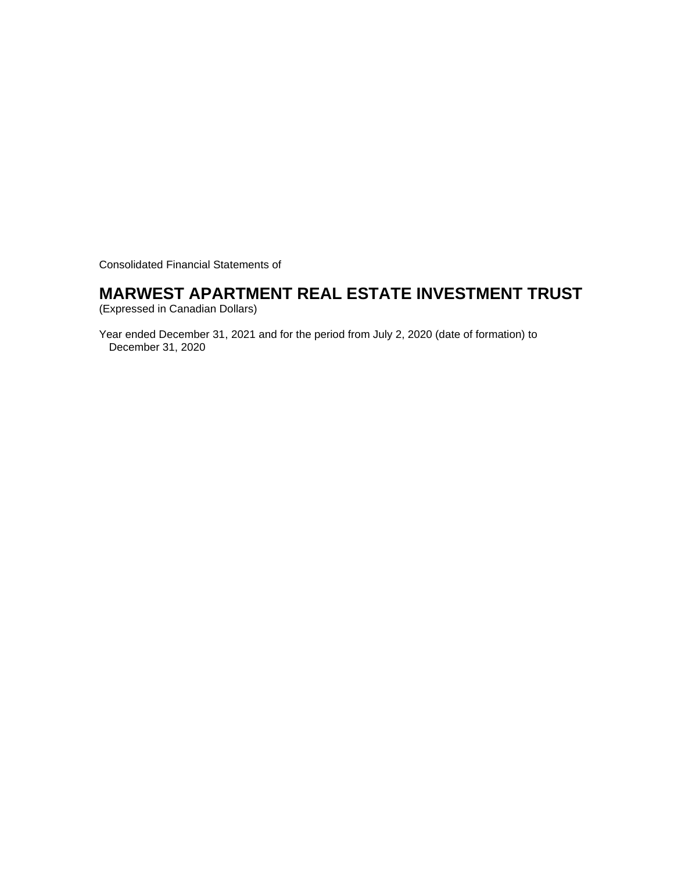Consolidated Financial Statements of

# **MARWEST APARTMENT REAL ESTATE INVESTMENT TRUST**

(Expressed in Canadian Dollars)

Year ended December 31, 2021 and for the period from July 2, 2020 (date of formation) to December 31, 2020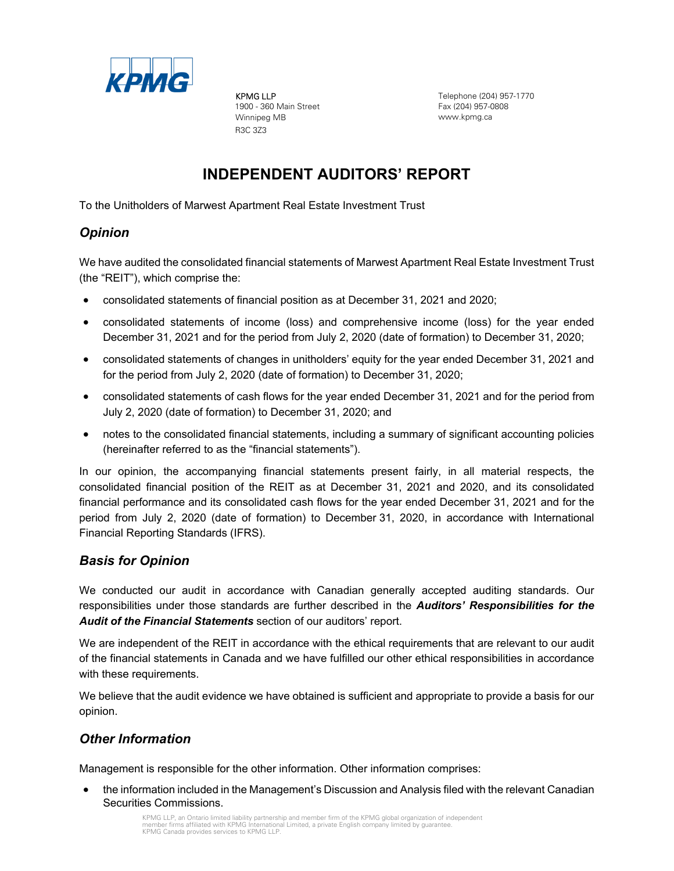

KPMG LLP 1900 - 360 Main Street Winnipeg MB R3C 3Z3

Telephone (204) 957-1770 Fax (204) 957-0808 www.kpmg.ca

## **INDEPENDENT AUDITORS' REPORT**

To the Unitholders of Marwest Apartment Real Estate Investment Trust

### *Opinion*

We have audited the consolidated financial statements of Marwest Apartment Real Estate Investment Trust (the "REIT"), which comprise the:

- consolidated statements of financial position as at December 31, 2021 and 2020;
- consolidated statements of income (loss) and comprehensive income (loss) for the year ended December 31, 2021 and for the period from July 2, 2020 (date of formation) to December 31, 2020;
- consolidated statements of changes in unitholders' equity for the year ended December 31, 2021 and for the period from July 2, 2020 (date of formation) to December 31, 2020;
- consolidated statements of cash flows for the year ended December 31, 2021 and for the period from July 2, 2020 (date of formation) to December 31, 2020; and
- notes to the consolidated financial statements, including a summary of significant accounting policies (hereinafter referred to as the "financial statements").

In our opinion, the accompanying financial statements present fairly, in all material respects, the consolidated financial position of the REIT as at December 31, 2021 and 2020, and its consolidated financial performance and its consolidated cash flows for the year ended December 31, 2021 and for the period from July 2, 2020 (date of formation) to December 31, 2020, in accordance with International Financial Reporting Standards (IFRS).

### *Basis for Opinion*

We conducted our audit in accordance with Canadian generally accepted auditing standards. Our responsibilities under those standards are further described in the *Auditors' Responsibilities for the Audit of the Financial Statements* section of our auditors' report.

We are independent of the REIT in accordance with the ethical requirements that are relevant to our audit of the financial statements in Canada and we have fulfilled our other ethical responsibilities in accordance with these requirements.

We believe that the audit evidence we have obtained is sufficient and appropriate to provide a basis for our opinion.

### *Other Information*

Management is responsible for the other information. Other information comprises:

 the information included in the Management's Discussion and Analysis filed with the relevant Canadian Securities Commissions.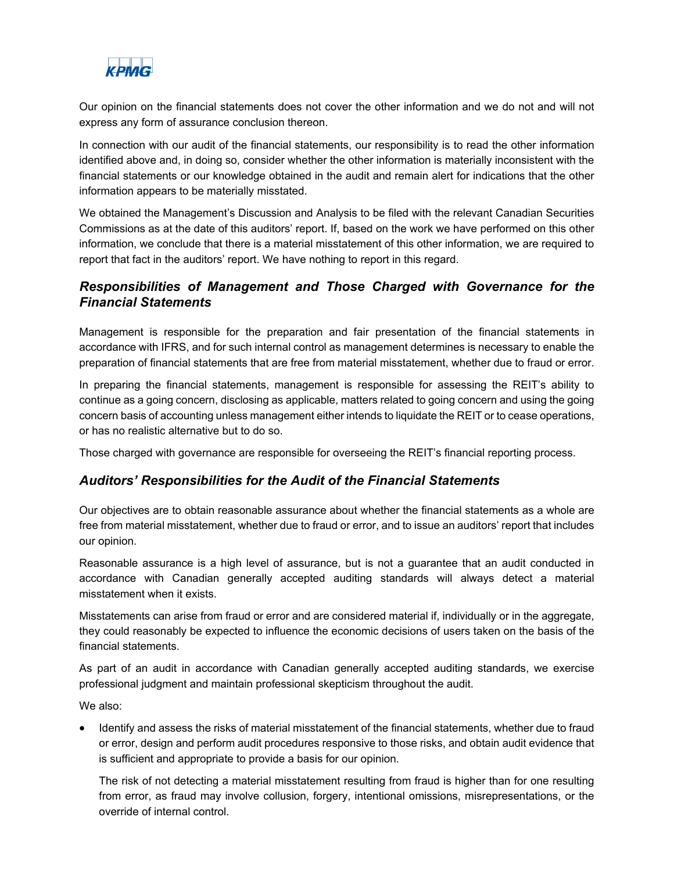

Our opinion on the financial statements does not cover the other information and we do not and will not express any form of assurance conclusion thereon.

In connection with our audit of the financial statements, our responsibility is to read the other information identified above and, in doing so, consider whether the other information is materially inconsistent with the financial statements or our knowledge obtained in the audit and remain alert for indications that the other information appears to be materially misstated.

We obtained the Management's Discussion and Analysis to be filed with the relevant Canadian Securities Commissions as at the date of this auditors' report. If, based on the work we have performed on this other information, we conclude that there is a material misstatement of this other information, we are required to report that fact in the auditors' report. We have nothing to report in this regard.

### *Responsibilities of Management and Those Charged with Governance for the Financial Statements*

Management is responsible for the preparation and fair presentation of the financial statements in accordance with IFRS, and for such internal control as management determines is necessary to enable the preparation of financial statements that are free from material misstatement, whether due to fraud or error.

In preparing the financial statements, management is responsible for assessing the REIT's ability to continue as a going concern, disclosing as applicable, matters related to going concern and using the going concern basis of accounting unless management either intends to liquidate the REIT or to cease operations, or has no realistic alternative but to do so.

Those charged with governance are responsible for overseeing the REIT's financial reporting process.

### *Auditors' Responsibilities for the Audit of the Financial Statements*

Our objectives are to obtain reasonable assurance about whether the financial statements as a whole are free from material misstatement, whether due to fraud or error, and to issue an auditors' report that includes our opinion.

Reasonable assurance is a high level of assurance, but is not a guarantee that an audit conducted in accordance with Canadian generally accepted auditing standards will always detect a material misstatement when it exists.

Misstatements can arise from fraud or error and are considered material if, individually or in the aggregate, they could reasonably be expected to influence the economic decisions of users taken on the basis of the financial statements.

As part of an audit in accordance with Canadian generally accepted auditing standards, we exercise professional judgment and maintain professional skepticism throughout the audit.

We also:

 Identify and assess the risks of material misstatement of the financial statements, whether due to fraud or error, design and perform audit procedures responsive to those risks, and obtain audit evidence that is sufficient and appropriate to provide a basis for our opinion.

The risk of not detecting a material misstatement resulting from fraud is higher than for one resulting from error, as fraud may involve collusion, forgery, intentional omissions, misrepresentations, or the override of internal control.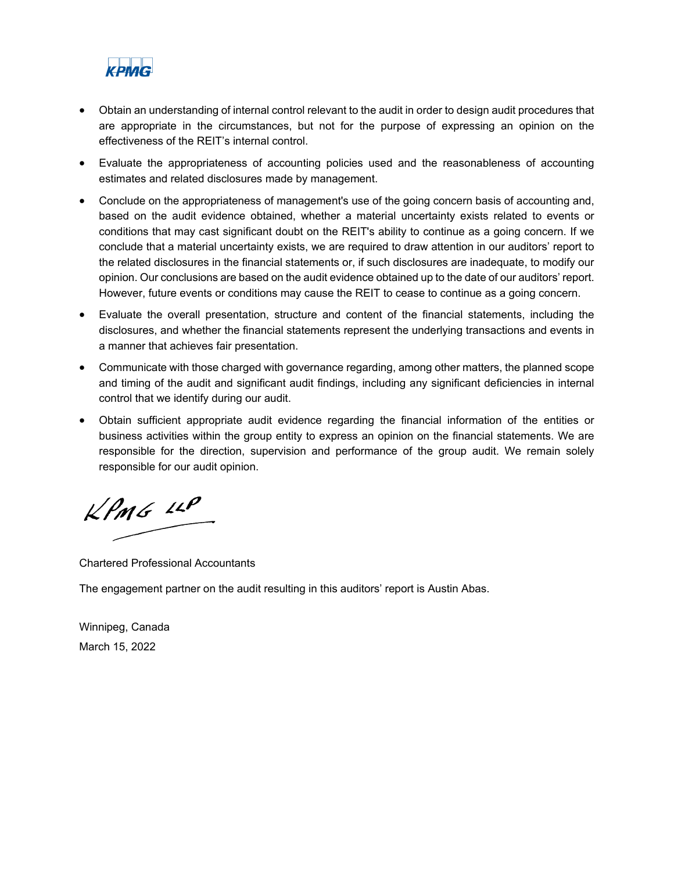

- Obtain an understanding of internal control relevant to the audit in order to design audit procedures that are appropriate in the circumstances, but not for the purpose of expressing an opinion on the effectiveness of the REIT's internal control.
- Evaluate the appropriateness of accounting policies used and the reasonableness of accounting estimates and related disclosures made by management.
- Conclude on the appropriateness of management's use of the going concern basis of accounting and, based on the audit evidence obtained, whether a material uncertainty exists related to events or conditions that may cast significant doubt on the REIT's ability to continue as a going concern. If we conclude that a material uncertainty exists, we are required to draw attention in our auditors' report to the related disclosures in the financial statements or, if such disclosures are inadequate, to modify our opinion. Our conclusions are based on the audit evidence obtained up to the date of our auditors' report. However, future events or conditions may cause the REIT to cease to continue as a going concern.
- Evaluate the overall presentation, structure and content of the financial statements, including the disclosures, and whether the financial statements represent the underlying transactions and events in a manner that achieves fair presentation.
- Communicate with those charged with governance regarding, among other matters, the planned scope and timing of the audit and significant audit findings, including any significant deficiencies in internal control that we identify during our audit.
- Obtain sufficient appropriate audit evidence regarding the financial information of the entities or business activities within the group entity to express an opinion on the financial statements. We are responsible for the direction, supervision and performance of the group audit. We remain solely responsible for our audit opinion.

 $KPMS$   $\mu P$ 

Chartered Professional Accountants

The engagement partner on the audit resulting in this auditors' report is Austin Abas.

Winnipeg, Canada March 15, 2022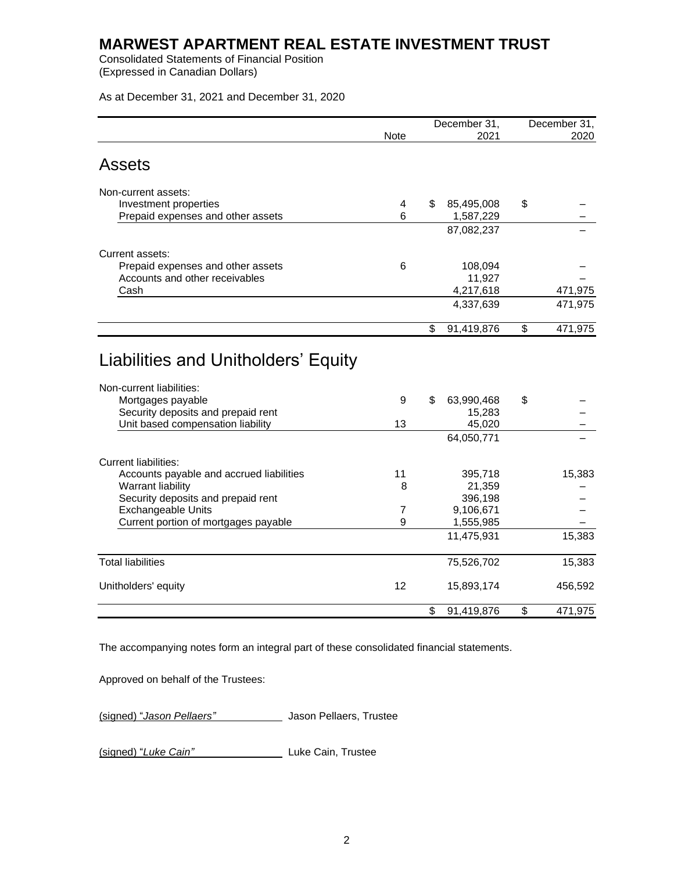Consolidated Statements of Financial Position (Expressed in Canadian Dollars)

As at December 31, 2021 and December 31, 2020

|                                                                                     |                     | December 31, |                         |    | December 31, |
|-------------------------------------------------------------------------------------|---------------------|--------------|-------------------------|----|--------------|
|                                                                                     | Note                |              | 2021                    |    | 2020         |
| <b>Assets</b>                                                                       |                     |              |                         |    |              |
| Non-current assets:                                                                 |                     |              |                         |    |              |
| Investment properties                                                               | 4                   | \$           | 85,495,008              | \$ |              |
| Prepaid expenses and other assets                                                   | 6                   |              | 1,587,229               |    |              |
|                                                                                     |                     |              | 87,082,237              |    |              |
| Current assets:                                                                     |                     |              |                         |    |              |
| Prepaid expenses and other assets                                                   | 6                   |              | 108,094                 |    |              |
| Accounts and other receivables                                                      |                     |              | 11,927                  |    |              |
| Cash                                                                                |                     |              | 4,217,618               |    | 471,975      |
|                                                                                     |                     |              | 4,337,639               |    | 471,975      |
|                                                                                     |                     | \$           | 91,419,876              | \$ | 471,975      |
| Non-current liabilities:<br>Mortgages payable<br>Security deposits and prepaid rent | 9                   | \$           | 63,990,468<br>15,283    | S  |              |
| Unit based compensation liability                                                   | 13                  |              | 45,020                  |    |              |
|                                                                                     |                     |              | 64,050,771              |    |              |
|                                                                                     |                     |              |                         |    |              |
| <b>Current liabilities:</b>                                                         |                     |              |                         |    |              |
| Accounts payable and accrued liabilities                                            | 11                  |              | 395,718                 |    | 15,383       |
| <b>Warrant liability</b>                                                            | 8                   |              | 21,359                  |    |              |
| Security deposits and prepaid rent                                                  |                     |              | 396,198                 |    |              |
| <b>Exchangeable Units</b>                                                           | $\overline{7}$<br>9 |              | 9,106,671               |    |              |
| Current portion of mortgages payable                                                |                     |              | 1,555,985<br>11,475,931 |    | 15,383       |
|                                                                                     |                     |              |                         |    |              |
| <b>Total liabilities</b>                                                            |                     |              | 75,526,702              |    | 15,383       |
| Unitholders' equity                                                                 | 12                  |              | 15,893,174              |    | 456,592      |
|                                                                                     |                     | \$           | 91,419,876              | \$ | 471,975      |

The accompanying notes form an integral part of these consolidated financial statements.

Approved on behalf of the Trustees:

(signed) "*Jason Pellaers"* Jason Pellaers, Trustee

(signed) "*Luke Cain"* Luke Cain, Trustee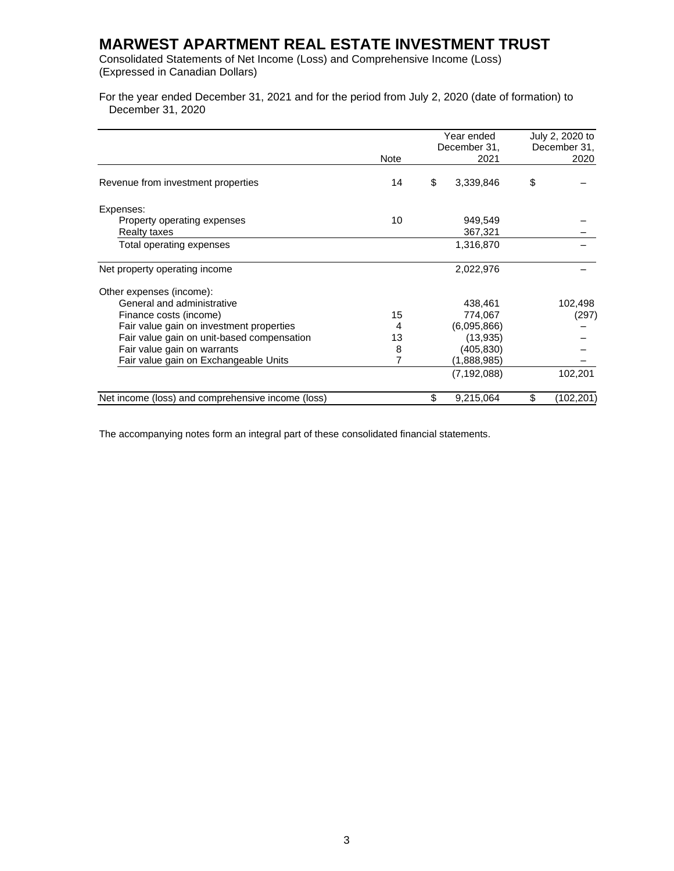Consolidated Statements of Net Income (Loss) and Comprehensive Income (Loss) (Expressed in Canadian Dollars)

For the year ended December 31, 2021 and for the period from July 2, 2020 (date of formation) to December 31, 2020

|                                                   |             | Year ended<br>December 31, |               | July 2, 2020 to<br>December 31, |            |
|---------------------------------------------------|-------------|----------------------------|---------------|---------------------------------|------------|
|                                                   | <b>Note</b> |                            | 2021          |                                 | 2020       |
| Revenue from investment properties                | 14          | \$                         | 3,339,846     | \$                              |            |
| Expenses:                                         |             |                            |               |                                 |            |
| Property operating expenses                       | 10          |                            | 949,549       |                                 |            |
| <b>Realty taxes</b>                               |             |                            | 367,321       |                                 |            |
| Total operating expenses                          |             |                            | 1,316,870     |                                 |            |
| Net property operating income                     |             |                            | 2,022,976     |                                 |            |
| Other expenses (income):                          |             |                            |               |                                 |            |
| General and administrative                        |             |                            | 438,461       |                                 | 102,498    |
| Finance costs (income)                            | 15          |                            | 774,067       |                                 | (297)      |
| Fair value gain on investment properties          | 4           |                            | (6,095,866)   |                                 |            |
| Fair value gain on unit-based compensation        | 13          |                            | (13, 935)     |                                 |            |
| Fair value gain on warrants                       | 8           |                            | (405, 830)    |                                 |            |
| Fair value gain on Exchangeable Units             |             |                            | (1,888,985)   |                                 |            |
|                                                   |             |                            | (7, 192, 088) |                                 | 102,201    |
| Net income (loss) and comprehensive income (loss) |             | \$                         | 9,215,064     | \$                              | (102, 201) |

The accompanying notes form an integral part of these consolidated financial statements.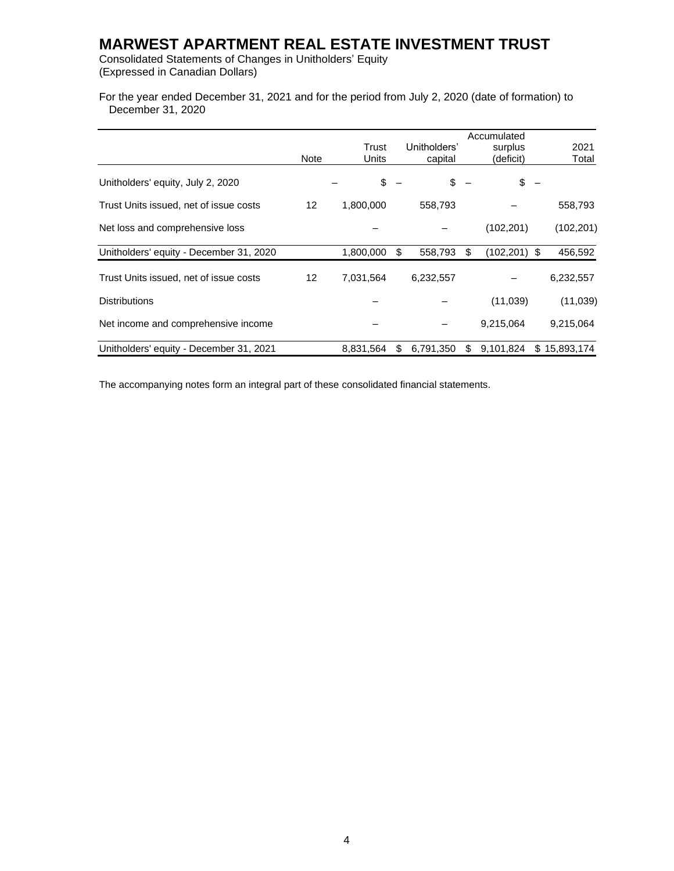Consolidated Statements of Changes in Unitholders' Equity (Expressed in Canadian Dollars)

For the year ended December 31, 2021 and for the period from July 2, 2020 (date of formation) to December 31, 2020

|                                         | <b>Note</b> | Trust<br>Units | Unitholders'<br>capital | Accumulated<br>surplus<br>(deficit) | 2021<br>Total |
|-----------------------------------------|-------------|----------------|-------------------------|-------------------------------------|---------------|
| Unitholders' equity, July 2, 2020       |             | \$             | \$                      | \$                                  |               |
| Trust Units issued, net of issue costs  | 12          | 1,800,000      | 558,793                 |                                     | 558,793       |
| Net loss and comprehensive loss         |             |                |                         | (102, 201)                          | (102, 201)    |
| Unitholders' equity - December 31, 2020 |             | 1,800,000      | \$<br>558,793           | \$<br>(102,201) \$                  | 456,592       |
| Trust Units issued, net of issue costs  | 12          | 7,031,564      | 6,232,557               |                                     | 6,232,557     |
| <b>Distributions</b>                    |             |                |                         | (11,039)                            | (11,039)      |
| Net income and comprehensive income     |             |                |                         | 9,215,064                           | 9,215,064     |
| Unitholders' equity - December 31, 2021 |             | 8,831,564      | \$<br>6,791,350         | \$<br>9.101.824                     | \$15,893,174  |

The accompanying notes form an integral part of these consolidated financial statements.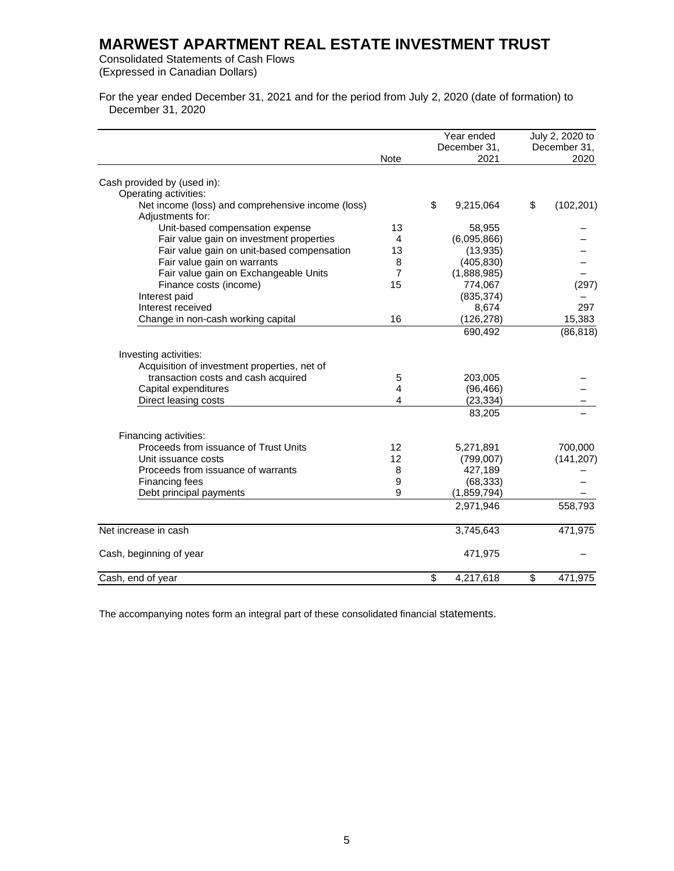Consolidated Statements of Cash Flows (Expressed in Canadian Dollars)

For the year ended December 31, 2021 and for the period from July 2, 2020 (date of formation) to December 31, 2020

|                                                                       |             | Year ended |              | July 2, 2020 to |            |
|-----------------------------------------------------------------------|-------------|------------|--------------|-----------------|------------|
|                                                                       |             |            | December 31, | December 31,    |            |
|                                                                       | <b>Note</b> |            | 2021         |                 | 2020       |
| Cash provided by (used in):                                           |             |            |              |                 |            |
| Operating activities:                                                 |             |            |              |                 |            |
| Net income (loss) and comprehensive income (loss)<br>Adjustments for: |             | \$         | 9,215,064    | \$              | (102, 201) |
| Unit-based compensation expense                                       | 13          |            | 58,955       |                 |            |
| Fair value gain on investment properties                              | 4           |            | (6,095,866)  |                 |            |
| Fair value gain on unit-based compensation                            | 13          |            | (13, 935)    |                 |            |
| Fair value gain on warrants                                           | 8           |            | (405, 830)   |                 |            |
| Fair value gain on Exchangeable Units                                 | 7           |            | (1,888,985)  |                 |            |
| Finance costs (income)                                                | 15          |            | 774,067      |                 | (297)      |
| Interest paid                                                         |             |            | (835, 374)   |                 |            |
| Interest received                                                     |             |            | 8,674        |                 | 297        |
| Change in non-cash working capital                                    | 16          |            | (126, 278)   |                 | 15,383     |
|                                                                       |             |            | 690,492      |                 | (86, 818)  |
| Investing activities:                                                 |             |            |              |                 |            |
| Acquisition of investment properties, net of                          |             |            |              |                 |            |
| transaction costs and cash acquired                                   | 5           |            | 203,005      |                 |            |
| Capital expenditures                                                  | 4           |            | (96, 466)    |                 |            |
| Direct leasing costs                                                  | 4           |            | (23, 334)    |                 |            |
|                                                                       |             |            | 83,205       |                 |            |
| Financing activities:                                                 |             |            |              |                 |            |
| Proceeds from issuance of Trust Units                                 | 12          |            | 5,271,891    |                 | 700.000    |
| Unit issuance costs                                                   | 12          |            | (799,007)    |                 | (141, 207) |
| Proceeds from issuance of warrants                                    | 8           |            | 427,189      |                 |            |
| Financing fees                                                        | $\mathsf g$ |            | (68, 333)    |                 |            |
| Debt principal payments                                               | 9           |            | (1,859,794)  |                 |            |
|                                                                       |             |            | 2,971,946    |                 | 558,793    |
| Net increase in cash                                                  |             |            | 3,745,643    |                 | 471,975    |
| Cash, beginning of year                                               |             |            | 471,975      |                 |            |
| Cash, end of year                                                     |             | \$         | 4,217,618    | \$              | 471,975    |

The accompanying notes form an integral part of these consolidated financial statements.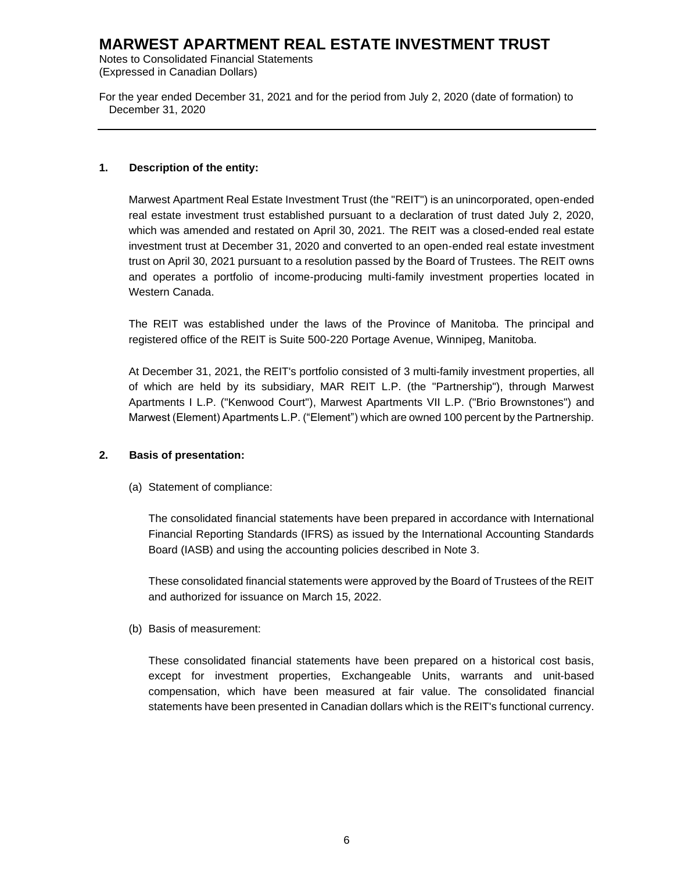Notes to Consolidated Financial Statements (Expressed in Canadian Dollars)

For the year ended December 31, 2021 and for the period from July 2, 2020 (date of formation) to December 31, 2020

#### **1. Description of the entity:**

Marwest Apartment Real Estate Investment Trust (the "REIT") is an unincorporated, open-ended real estate investment trust established pursuant to a declaration of trust dated July 2, 2020, which was amended and restated on April 30, 2021. The REIT was a closed-ended real estate investment trust at December 31, 2020 and converted to an open-ended real estate investment trust on April 30, 2021 pursuant to a resolution passed by the Board of Trustees. The REIT owns and operates a portfolio of income-producing multi-family investment properties located in Western Canada.

The REIT was established under the laws of the Province of Manitoba. The principal and registered office of the REIT is Suite 500-220 Portage Avenue, Winnipeg, Manitoba.

At December 31, 2021, the REIT's portfolio consisted of 3 multi-family investment properties, all of which are held by its subsidiary, MAR REIT L.P. (the "Partnership"), through Marwest Apartments I L.P. ("Kenwood Court"), Marwest Apartments VII L.P. ("Brio Brownstones") and Marwest (Element) Apartments L.P. ("Element") which are owned 100 percent by the Partnership.

#### **2. Basis of presentation:**

(a) Statement of compliance:

The consolidated financial statements have been prepared in accordance with International Financial Reporting Standards (IFRS) as issued by the International Accounting Standards Board (IASB) and using the accounting policies described in Note 3.

These consolidated financial statements were approved by the Board of Trustees of the REIT and authorized for issuance on March 15, 2022.

(b) Basis of measurement:

These consolidated financial statements have been prepared on a historical cost basis, except for investment properties, Exchangeable Units, warrants and unit-based compensation, which have been measured at fair value. The consolidated financial statements have been presented in Canadian dollars which is the REIT's functional currency.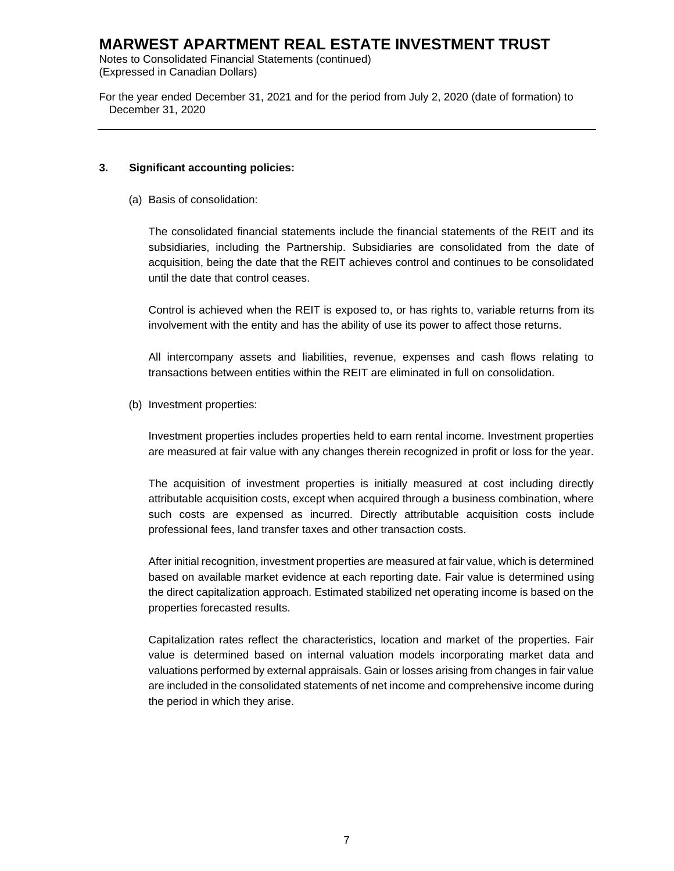Notes to Consolidated Financial Statements (continued) (Expressed in Canadian Dollars)

For the year ended December 31, 2021 and for the period from July 2, 2020 (date of formation) to December 31, 2020

#### **3. Significant accounting policies:**

(a) Basis of consolidation:

The consolidated financial statements include the financial statements of the REIT and its subsidiaries, including the Partnership. Subsidiaries are consolidated from the date of acquisition, being the date that the REIT achieves control and continues to be consolidated until the date that control ceases.

Control is achieved when the REIT is exposed to, or has rights to, variable returns from its involvement with the entity and has the ability of use its power to affect those returns.

All intercompany assets and liabilities, revenue, expenses and cash flows relating to transactions between entities within the REIT are eliminated in full on consolidation.

(b) Investment properties:

Investment properties includes properties held to earn rental income. Investment properties are measured at fair value with any changes therein recognized in profit or loss for the year.

The acquisition of investment properties is initially measured at cost including directly attributable acquisition costs, except when acquired through a business combination, where such costs are expensed as incurred. Directly attributable acquisition costs include professional fees, land transfer taxes and other transaction costs.

After initial recognition, investment properties are measured at fair value, which is determined based on available market evidence at each reporting date. Fair value is determined using the direct capitalization approach. Estimated stabilized net operating income is based on the properties forecasted results.

Capitalization rates reflect the characteristics, location and market of the properties. Fair value is determined based on internal valuation models incorporating market data and valuations performed by external appraisals. Gain or losses arising from changes in fair value are included in the consolidated statements of net income and comprehensive income during the period in which they arise.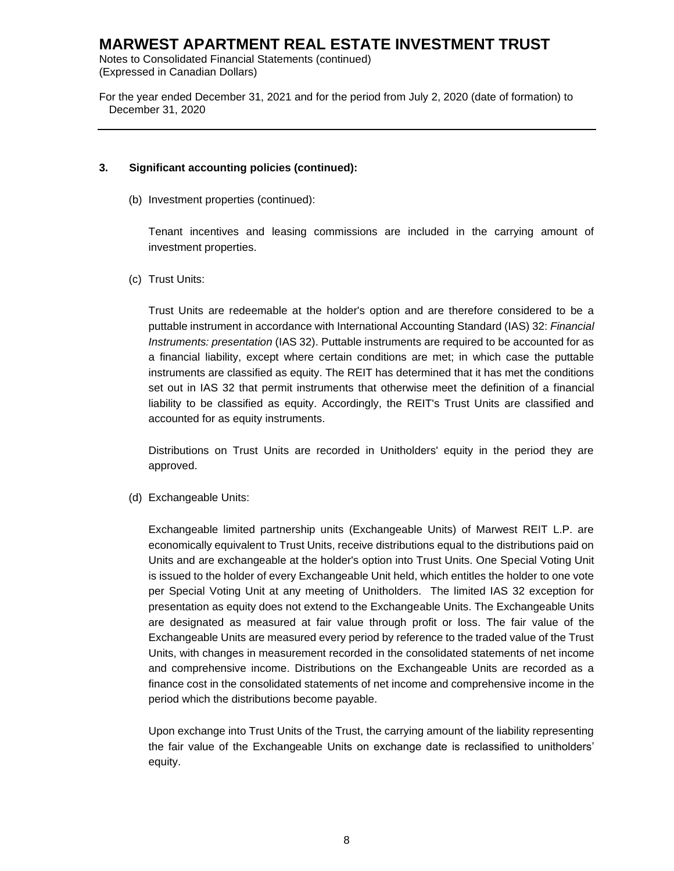Notes to Consolidated Financial Statements (continued) (Expressed in Canadian Dollars)

For the year ended December 31, 2021 and for the period from July 2, 2020 (date of formation) to December 31, 2020

#### **3. Significant accounting policies (continued):**

(b) Investment properties (continued):

Tenant incentives and leasing commissions are included in the carrying amount of investment properties.

(c) Trust Units:

Trust Units are redeemable at the holder's option and are therefore considered to be a puttable instrument in accordance with International Accounting Standard (IAS) 32: *Financial Instruments: presentation* (IAS 32). Puttable instruments are required to be accounted for as a financial liability, except where certain conditions are met; in which case the puttable instruments are classified as equity. The REIT has determined that it has met the conditions set out in IAS 32 that permit instruments that otherwise meet the definition of a financial liability to be classified as equity. Accordingly, the REIT's Trust Units are classified and accounted for as equity instruments.

Distributions on Trust Units are recorded in Unitholders' equity in the period they are approved.

(d) Exchangeable Units:

Exchangeable limited partnership units (Exchangeable Units) of Marwest REIT L.P. are economically equivalent to Trust Units, receive distributions equal to the distributions paid on Units and are exchangeable at the holder's option into Trust Units. One Special Voting Unit is issued to the holder of every Exchangeable Unit held, which entitles the holder to one vote per Special Voting Unit at any meeting of Unitholders. The limited IAS 32 exception for presentation as equity does not extend to the Exchangeable Units. The Exchangeable Units are designated as measured at fair value through profit or loss. The fair value of the Exchangeable Units are measured every period by reference to the traded value of the Trust Units, with changes in measurement recorded in the consolidated statements of net income and comprehensive income. Distributions on the Exchangeable Units are recorded as a finance cost in the consolidated statements of net income and comprehensive income in the period which the distributions become payable.

Upon exchange into Trust Units of the Trust, the carrying amount of the liability representing the fair value of the Exchangeable Units on exchange date is reclassified to unitholders' equity.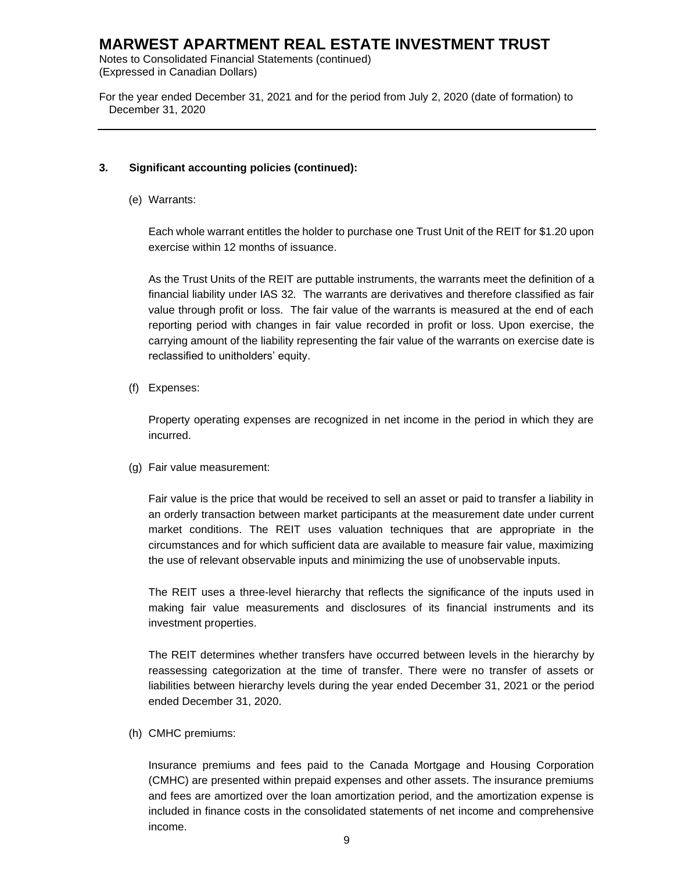Notes to Consolidated Financial Statements (continued) (Expressed in Canadian Dollars)

For the year ended December 31, 2021 and for the period from July 2, 2020 (date of formation) to December 31, 2020

#### **3. Significant accounting policies (continued):**

(e) Warrants:

Each whole warrant entitles the holder to purchase one Trust Unit of the REIT for \$1.20 upon exercise within 12 months of issuance.

As the Trust Units of the REIT are puttable instruments, the warrants meet the definition of a financial liability under IAS 32*.* The warrants are derivatives and therefore classified as fair value through profit or loss. The fair value of the warrants is measured at the end of each reporting period with changes in fair value recorded in profit or loss. Upon exercise, the carrying amount of the liability representing the fair value of the warrants on exercise date is reclassified to unitholders' equity.

(f) Expenses:

Property operating expenses are recognized in net income in the period in which they are incurred.

(g) Fair value measurement:

Fair value is the price that would be received to sell an asset or paid to transfer a liability in an orderly transaction between market participants at the measurement date under current market conditions. The REIT uses valuation techniques that are appropriate in the circumstances and for which sufficient data are available to measure fair value, maximizing the use of relevant observable inputs and minimizing the use of unobservable inputs.

The REIT uses a three-level hierarchy that reflects the significance of the inputs used in making fair value measurements and disclosures of its financial instruments and its investment properties.

The REIT determines whether transfers have occurred between levels in the hierarchy by reassessing categorization at the time of transfer. There were no transfer of assets or liabilities between hierarchy levels during the year ended December 31, 2021 or the period ended December 31, 2020.

(h) CMHC premiums:

Insurance premiums and fees paid to the Canada Mortgage and Housing Corporation (CMHC) are presented within prepaid expenses and other assets. The insurance premiums and fees are amortized over the loan amortization period, and the amortization expense is included in finance costs in the consolidated statements of net income and comprehensive income.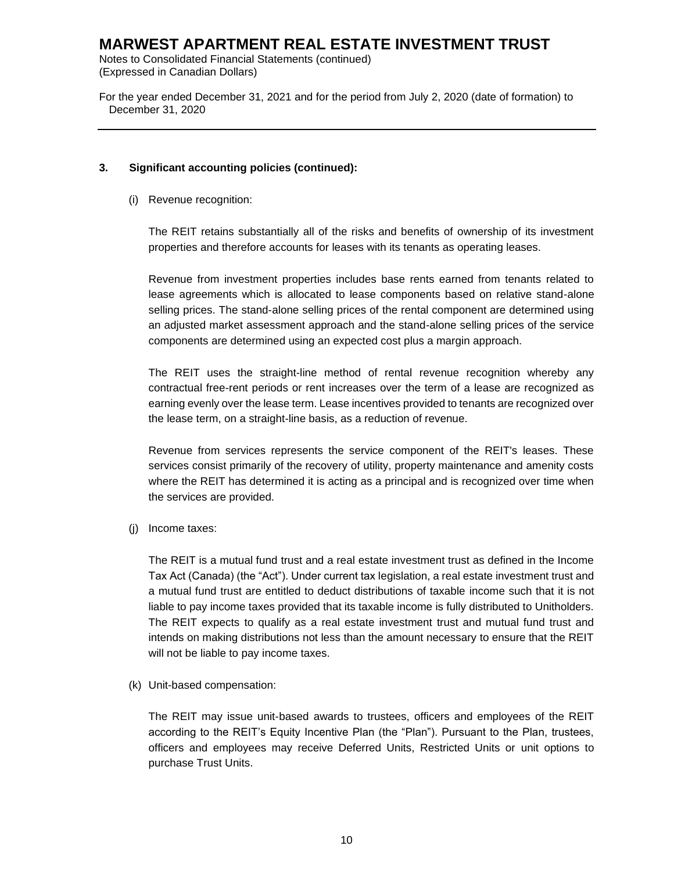Notes to Consolidated Financial Statements (continued) (Expressed in Canadian Dollars)

For the year ended December 31, 2021 and for the period from July 2, 2020 (date of formation) to December 31, 2020

#### **3. Significant accounting policies (continued):**

(i) Revenue recognition:

The REIT retains substantially all of the risks and benefits of ownership of its investment properties and therefore accounts for leases with its tenants as operating leases.

Revenue from investment properties includes base rents earned from tenants related to lease agreements which is allocated to lease components based on relative stand-alone selling prices. The stand-alone selling prices of the rental component are determined using an adjusted market assessment approach and the stand-alone selling prices of the service components are determined using an expected cost plus a margin approach.

The REIT uses the straight-line method of rental revenue recognition whereby any contractual free-rent periods or rent increases over the term of a lease are recognized as earning evenly over the lease term. Lease incentives provided to tenants are recognized over the lease term, on a straight-line basis, as a reduction of revenue.

Revenue from services represents the service component of the REIT's leases. These services consist primarily of the recovery of utility, property maintenance and amenity costs where the REIT has determined it is acting as a principal and is recognized over time when the services are provided.

(j) Income taxes:

The REIT is a mutual fund trust and a real estate investment trust as defined in the Income Tax Act (Canada) (the "Act"). Under current tax legislation, a real estate investment trust and a mutual fund trust are entitled to deduct distributions of taxable income such that it is not liable to pay income taxes provided that its taxable income is fully distributed to Unitholders. The REIT expects to qualify as a real estate investment trust and mutual fund trust and intends on making distributions not less than the amount necessary to ensure that the REIT will not be liable to pay income taxes.

(k) Unit-based compensation:

The REIT may issue unit-based awards to trustees, officers and employees of the REIT according to the REIT's Equity Incentive Plan (the "Plan"). Pursuant to the Plan, trustees, officers and employees may receive Deferred Units, Restricted Units or unit options to purchase Trust Units.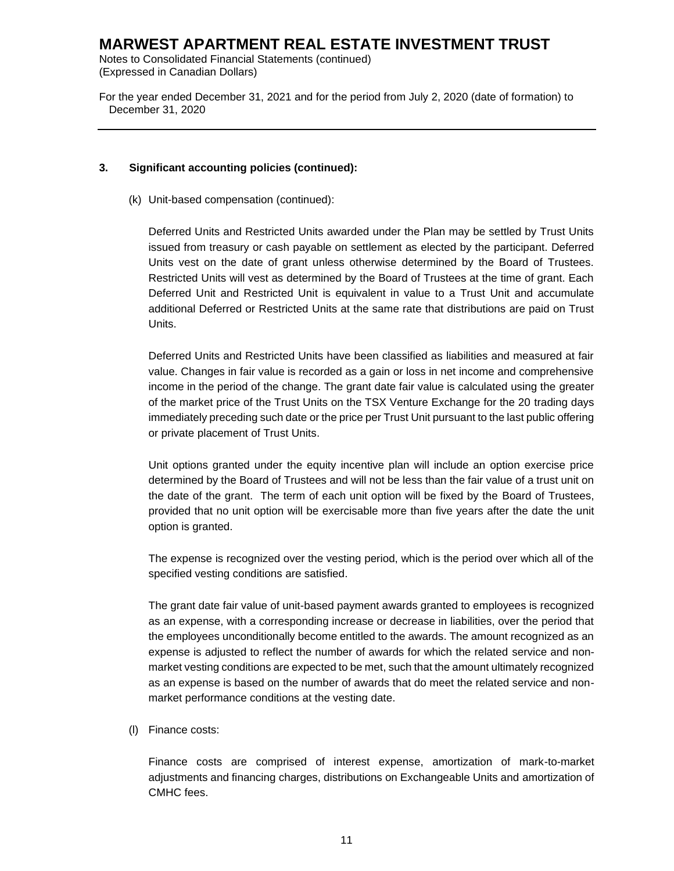Notes to Consolidated Financial Statements (continued) (Expressed in Canadian Dollars)

For the year ended December 31, 2021 and for the period from July 2, 2020 (date of formation) to December 31, 2020

#### **3. Significant accounting policies (continued):**

(k) Unit-based compensation (continued):

Deferred Units and Restricted Units awarded under the Plan may be settled by Trust Units issued from treasury or cash payable on settlement as elected by the participant. Deferred Units vest on the date of grant unless otherwise determined by the Board of Trustees. Restricted Units will vest as determined by the Board of Trustees at the time of grant. Each Deferred Unit and Restricted Unit is equivalent in value to a Trust Unit and accumulate additional Deferred or Restricted Units at the same rate that distributions are paid on Trust Units.

Deferred Units and Restricted Units have been classified as liabilities and measured at fair value. Changes in fair value is recorded as a gain or loss in net income and comprehensive income in the period of the change. The grant date fair value is calculated using the greater of the market price of the Trust Units on the TSX Venture Exchange for the 20 trading days immediately preceding such date or the price per Trust Unit pursuant to the last public offering or private placement of Trust Units.

Unit options granted under the equity incentive plan will include an option exercise price determined by the Board of Trustees and will not be less than the fair value of a trust unit on the date of the grant. The term of each unit option will be fixed by the Board of Trustees, provided that no unit option will be exercisable more than five years after the date the unit option is granted.

The expense is recognized over the vesting period, which is the period over which all of the specified vesting conditions are satisfied.

The grant date fair value of unit-based payment awards granted to employees is recognized as an expense, with a corresponding increase or decrease in liabilities, over the period that the employees unconditionally become entitled to the awards. The amount recognized as an expense is adjusted to reflect the number of awards for which the related service and nonmarket vesting conditions are expected to be met, such that the amount ultimately recognized as an expense is based on the number of awards that do meet the related service and nonmarket performance conditions at the vesting date.

(l) Finance costs:

Finance costs are comprised of interest expense, amortization of mark-to-market adjustments and financing charges, distributions on Exchangeable Units and amortization of CMHC fees.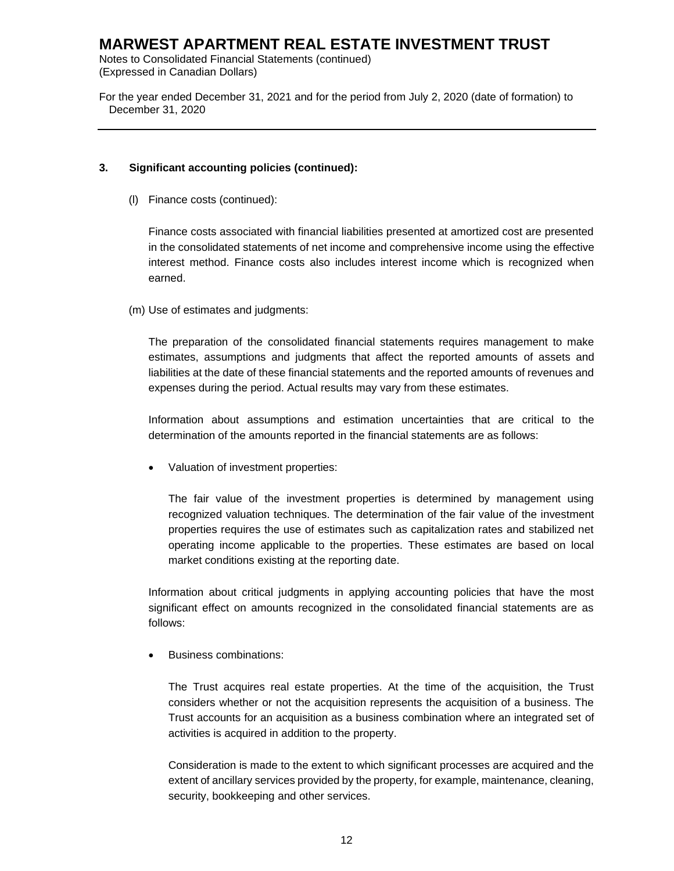Notes to Consolidated Financial Statements (continued) (Expressed in Canadian Dollars)

For the year ended December 31, 2021 and for the period from July 2, 2020 (date of formation) to December 31, 2020

#### **3. Significant accounting policies (continued):**

(l) Finance costs (continued):

Finance costs associated with financial liabilities presented at amortized cost are presented in the consolidated statements of net income and comprehensive income using the effective interest method. Finance costs also includes interest income which is recognized when earned.

(m) Use of estimates and judgments:

The preparation of the consolidated financial statements requires management to make estimates, assumptions and judgments that affect the reported amounts of assets and liabilities at the date of these financial statements and the reported amounts of revenues and expenses during the period. Actual results may vary from these estimates.

Information about assumptions and estimation uncertainties that are critical to the determination of the amounts reported in the financial statements are as follows:

• Valuation of investment properties:

The fair value of the investment properties is determined by management using recognized valuation techniques. The determination of the fair value of the investment properties requires the use of estimates such as capitalization rates and stabilized net operating income applicable to the properties. These estimates are based on local market conditions existing at the reporting date.

Information about critical judgments in applying accounting policies that have the most significant effect on amounts recognized in the consolidated financial statements are as follows:

• Business combinations:

The Trust acquires real estate properties. At the time of the acquisition, the Trust considers whether or not the acquisition represents the acquisition of a business. The Trust accounts for an acquisition as a business combination where an integrated set of activities is acquired in addition to the property.

Consideration is made to the extent to which significant processes are acquired and the extent of ancillary services provided by the property, for example, maintenance, cleaning, security, bookkeeping and other services.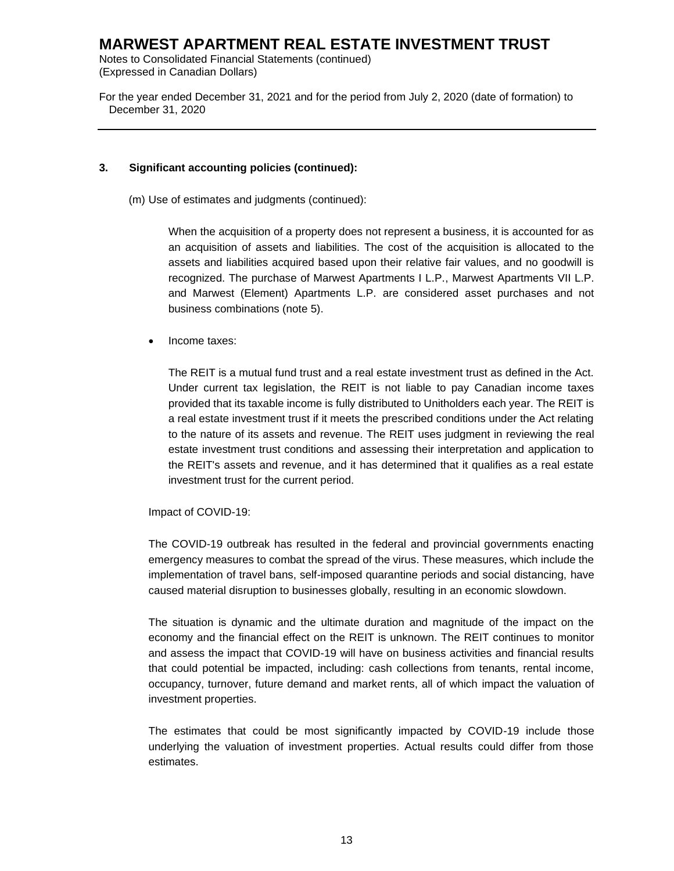Notes to Consolidated Financial Statements (continued) (Expressed in Canadian Dollars)

For the year ended December 31, 2021 and for the period from July 2, 2020 (date of formation) to December 31, 2020

#### **3. Significant accounting policies (continued):**

(m) Use of estimates and judgments (continued):

When the acquisition of a property does not represent a business, it is accounted for as an acquisition of assets and liabilities. The cost of the acquisition is allocated to the assets and liabilities acquired based upon their relative fair values, and no goodwill is recognized. The purchase of Marwest Apartments I L.P., Marwest Apartments VII L.P. and Marwest (Element) Apartments L.P. are considered asset purchases and not business combinations (note 5).

• Income taxes:

The REIT is a mutual fund trust and a real estate investment trust as defined in the Act. Under current tax legislation, the REIT is not liable to pay Canadian income taxes provided that its taxable income is fully distributed to Unitholders each year. The REIT is a real estate investment trust if it meets the prescribed conditions under the Act relating to the nature of its assets and revenue. The REIT uses judgment in reviewing the real estate investment trust conditions and assessing their interpretation and application to the REIT's assets and revenue, and it has determined that it qualifies as a real estate investment trust for the current period.

Impact of COVID-19:

The COVID-19 outbreak has resulted in the federal and provincial governments enacting emergency measures to combat the spread of the virus. These measures, which include the implementation of travel bans, self-imposed quarantine periods and social distancing, have caused material disruption to businesses globally, resulting in an economic slowdown.

The situation is dynamic and the ultimate duration and magnitude of the impact on the economy and the financial effect on the REIT is unknown. The REIT continues to monitor and assess the impact that COVID-19 will have on business activities and financial results that could potential be impacted, including: cash collections from tenants, rental income, occupancy, turnover, future demand and market rents, all of which impact the valuation of investment properties.

The estimates that could be most significantly impacted by COVID-19 include those underlying the valuation of investment properties. Actual results could differ from those estimates.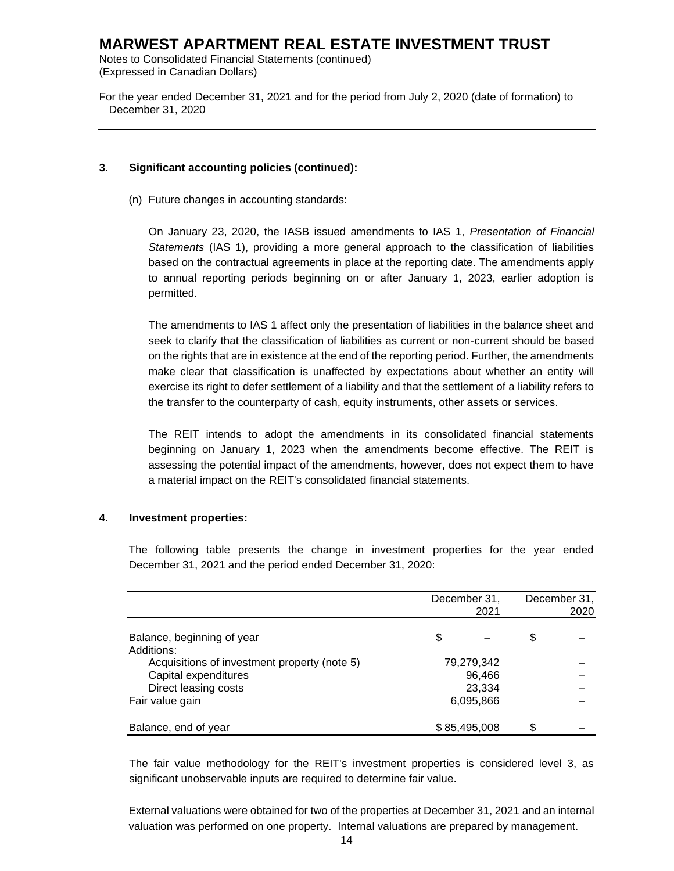Notes to Consolidated Financial Statements (continued) (Expressed in Canadian Dollars)

For the year ended December 31, 2021 and for the period from July 2, 2020 (date of formation) to December 31, 2020

#### **3. Significant accounting policies (continued):**

(n) Future changes in accounting standards:

On January 23, 2020, the IASB issued amendments to IAS 1, *Presentation of Financial Statements* (IAS 1), providing a more general approach to the classification of liabilities based on the contractual agreements in place at the reporting date. The amendments apply to annual reporting periods beginning on or after January 1, 2023, earlier adoption is permitted.

The amendments to IAS 1 affect only the presentation of liabilities in the balance sheet and seek to clarify that the classification of liabilities as current or non-current should be based on the rights that are in existence at the end of the reporting period. Further, the amendments make clear that classification is unaffected by expectations about whether an entity will exercise its right to defer settlement of a liability and that the settlement of a liability refers to the transfer to the counterparty of cash, equity instruments, other assets or services.

The REIT intends to adopt the amendments in its consolidated financial statements beginning on January 1, 2023 when the amendments become effective. The REIT is assessing the potential impact of the amendments, however, does not expect them to have a material impact on the REIT's consolidated financial statements.

#### **4. Investment properties:**

The following table presents the change in investment properties for the year ended December 31, 2021 and the period ended December 31, 2020:

|                                              | December 31,<br>2021 | December 31,<br>2020 |
|----------------------------------------------|----------------------|----------------------|
| Balance, beginning of year<br>Additions:     | \$                   | \$                   |
| Acquisitions of investment property (note 5) | 79,279,342           |                      |
| Capital expenditures                         | 96,466               |                      |
| Direct leasing costs                         | 23,334               |                      |
| Fair value gain                              | 6,095,866            |                      |
|                                              |                      |                      |
| Balance, end of year                         | \$85,495,008         | \$                   |

The fair value methodology for the REIT's investment properties is considered level 3, as significant unobservable inputs are required to determine fair value.

External valuations were obtained for two of the properties at December 31, 2021 and an internal valuation was performed on one property. Internal valuations are prepared by management.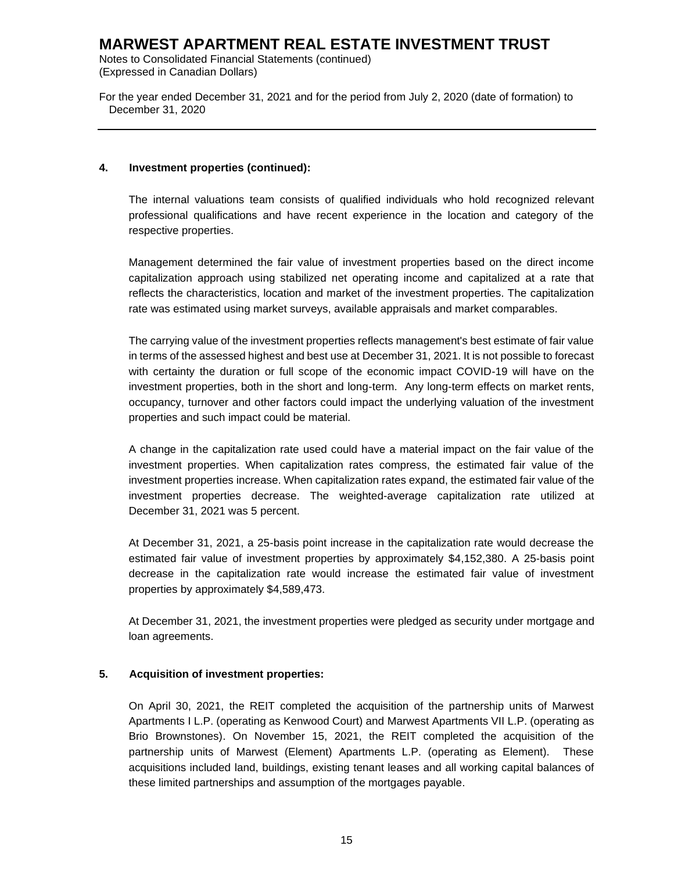Notes to Consolidated Financial Statements (continued) (Expressed in Canadian Dollars)

For the year ended December 31, 2021 and for the period from July 2, 2020 (date of formation) to December 31, 2020

#### **4. Investment properties (continued):**

The internal valuations team consists of qualified individuals who hold recognized relevant professional qualifications and have recent experience in the location and category of the respective properties.

Management determined the fair value of investment properties based on the direct income capitalization approach using stabilized net operating income and capitalized at a rate that reflects the characteristics, location and market of the investment properties. The capitalization rate was estimated using market surveys, available appraisals and market comparables.

The carrying value of the investment properties reflects management's best estimate of fair value in terms of the assessed highest and best use at December 31, 2021. It is not possible to forecast with certainty the duration or full scope of the economic impact COVID-19 will have on the investment properties, both in the short and long-term. Any long-term effects on market rents, occupancy, turnover and other factors could impact the underlying valuation of the investment properties and such impact could be material.

A change in the capitalization rate used could have a material impact on the fair value of the investment properties. When capitalization rates compress, the estimated fair value of the investment properties increase. When capitalization rates expand, the estimated fair value of the investment properties decrease. The weighted-average capitalization rate utilized at December 31, 2021 was 5 percent.

At December 31, 2021, a 25-basis point increase in the capitalization rate would decrease the estimated fair value of investment properties by approximately \$4,152,380. A 25-basis point decrease in the capitalization rate would increase the estimated fair value of investment properties by approximately \$4,589,473.

At December 31, 2021, the investment properties were pledged as security under mortgage and loan agreements.

#### **5. Acquisition of investment properties:**

On April 30, 2021, the REIT completed the acquisition of the partnership units of Marwest Apartments I L.P. (operating as Kenwood Court) and Marwest Apartments VII L.P. (operating as Brio Brownstones). On November 15, 2021, the REIT completed the acquisition of the partnership units of Marwest (Element) Apartments L.P. (operating as Element). These acquisitions included land, buildings, existing tenant leases and all working capital balances of these limited partnerships and assumption of the mortgages payable.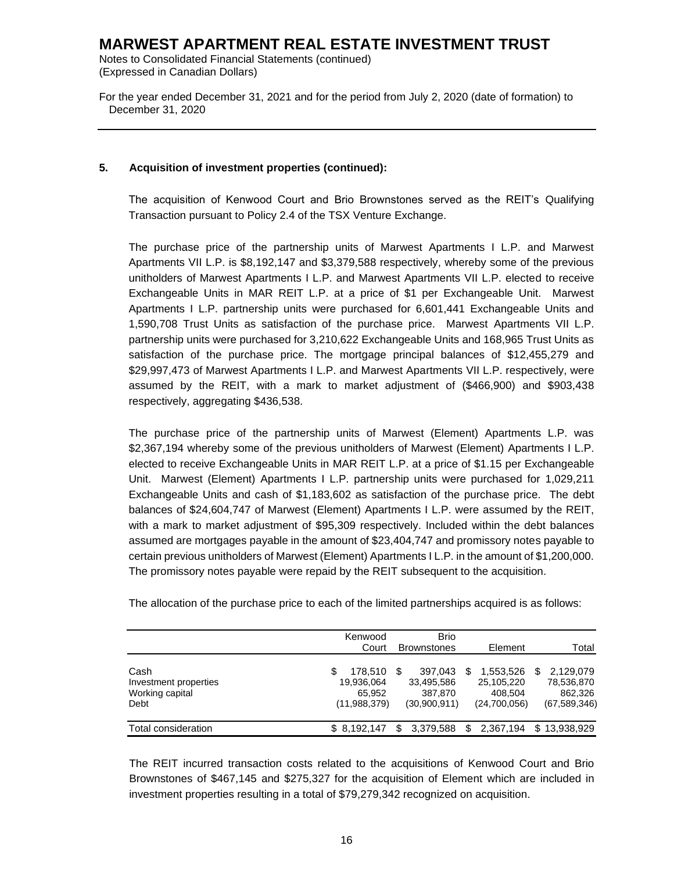Notes to Consolidated Financial Statements (continued) (Expressed in Canadian Dollars)

For the year ended December 31, 2021 and for the period from July 2, 2020 (date of formation) to December 31, 2020

#### **5. Acquisition of investment properties (continued):**

The acquisition of Kenwood Court and Brio Brownstones served as the REIT's Qualifying Transaction pursuant to Policy 2.4 of the TSX Venture Exchange.

The purchase price of the partnership units of Marwest Apartments I L.P. and Marwest Apartments VII L.P. is \$8,192,147 and \$3,379,588 respectively, whereby some of the previous unitholders of Marwest Apartments I L.P. and Marwest Apartments VII L.P. elected to receive Exchangeable Units in MAR REIT L.P. at a price of \$1 per Exchangeable Unit. Marwest Apartments I L.P. partnership units were purchased for 6,601,441 Exchangeable Units and 1,590,708 Trust Units as satisfaction of the purchase price. Marwest Apartments VII L.P. partnership units were purchased for 3,210,622 Exchangeable Units and 168,965 Trust Units as satisfaction of the purchase price. The mortgage principal balances of \$12,455,279 and \$29,997,473 of Marwest Apartments I L.P. and Marwest Apartments VII L.P. respectively, were assumed by the REIT, with a mark to market adjustment of (\$466,900) and \$903,438 respectively, aggregating \$436,538.

The purchase price of the partnership units of Marwest (Element) Apartments L.P. was \$2,367,194 whereby some of the previous unitholders of Marwest (Element) Apartments I L.P. elected to receive Exchangeable Units in MAR REIT L.P. at a price of \$1.15 per Exchangeable Unit. Marwest (Element) Apartments I L.P. partnership units were purchased for 1,029,211 Exchangeable Units and cash of \$1,183,602 as satisfaction of the purchase price. The debt balances of \$24,604,747 of Marwest (Element) Apartments I L.P. were assumed by the REIT, with a mark to market adjustment of \$95,309 respectively. Included within the debt balances assumed are mortgages payable in the amount of \$23,404,747 and promissory notes payable to certain previous unitholders of Marwest (Element) Apartments I L.P. in the amount of \$1,200,000. The promissory notes payable were repaid by the REIT subsequent to the acquisition.

|                                                          | Kenwood<br>Court                                     | <b>Brio</b><br><b>Brownstones</b>                | Element                                                 | Total                                                     |
|----------------------------------------------------------|------------------------------------------------------|--------------------------------------------------|---------------------------------------------------------|-----------------------------------------------------------|
| Cash<br>Investment properties<br>Working capital<br>Debt | 178,510<br>S<br>19,936,064<br>65.952<br>(11,988,379) | 397,043<br>33,495,586<br>387,870<br>(30,900,911) | 1,553,526<br>S<br>25,105,220<br>408,504<br>(24,700,056) | 2,129,079<br>S<br>78,536,870<br>862,326<br>(67, 589, 346) |
| Total consideration                                      | \$ 8.192.147                                         | 3,379,588<br>\$.                                 | 2,367,194<br>\$                                         | \$13,938,929                                              |

The allocation of the purchase price to each of the limited partnerships acquired is as follows:

The REIT incurred transaction costs related to the acquisitions of Kenwood Court and Brio Brownstones of \$467,145 and \$275,327 for the acquisition of Element which are included in investment properties resulting in a total of \$79,279,342 recognized on acquisition.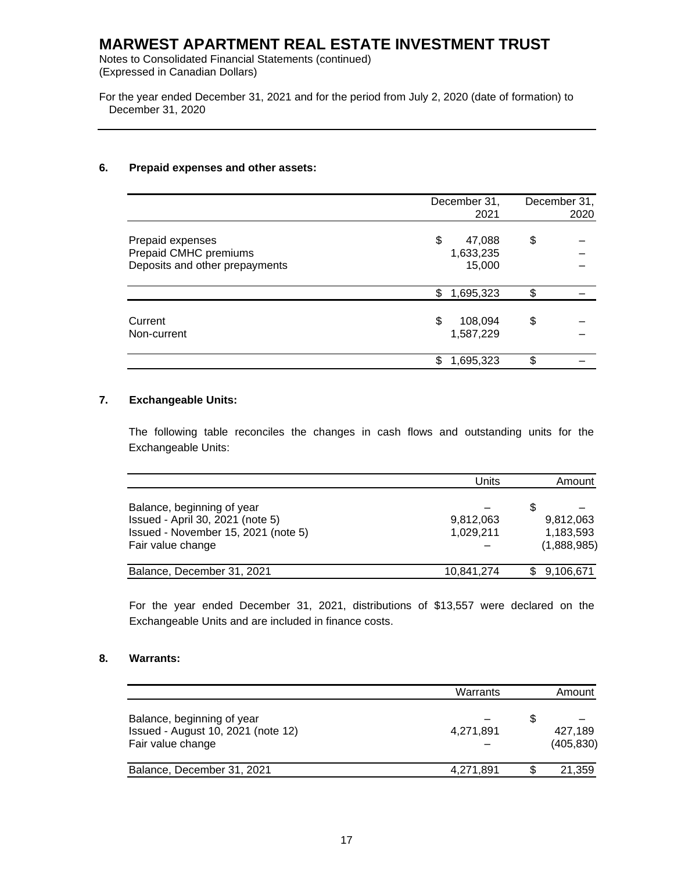Notes to Consolidated Financial Statements (continued) (Expressed in Canadian Dollars)

For the year ended December 31, 2021 and for the period from July 2, 2020 (date of formation) to December 31, 2020

#### **6. Prepaid expenses and other assets:**

|                                                                             | December 31,<br>2021                | December 31,<br>2020 |
|-----------------------------------------------------------------------------|-------------------------------------|----------------------|
| Prepaid expenses<br>Prepaid CMHC premiums<br>Deposits and other prepayments | \$<br>47,088<br>1,633,235<br>15,000 | \$                   |
|                                                                             | 1,695,323<br>\$.                    | \$                   |
| Current<br>Non-current                                                      | \$<br>108,094<br>1,587,229          | \$                   |
|                                                                             | 1,695,323<br>\$                     | \$                   |

#### **7. Exchangeable Units:**

The following table reconciles the changes in cash flows and outstanding units for the Exchangeable Units:

|                                                                                                                            | Units                  | Amount                                     |
|----------------------------------------------------------------------------------------------------------------------------|------------------------|--------------------------------------------|
| Balance, beginning of year<br>Issued - April 30, 2021 (note 5)<br>Issued - November 15, 2021 (note 5)<br>Fair value change | 9,812,063<br>1,029,211 | S<br>9,812,063<br>1,183,593<br>(1,888,985) |
| Balance, December 31, 2021                                                                                                 | 10,841,274             | 9,106,671                                  |

For the year ended December 31, 2021, distributions of \$13,557 were declared on the Exchangeable Units and are included in finance costs.

#### **8. Warrants:**

|                                                                                       | Warrants  | Amount                      |
|---------------------------------------------------------------------------------------|-----------|-----------------------------|
| Balance, beginning of year<br>Issued - August 10, 2021 (note 12)<br>Fair value change | 4,271,891 | \$<br>427.189<br>(405, 830) |
| Balance, December 31, 2021                                                            | 4,271,891 | 21,359                      |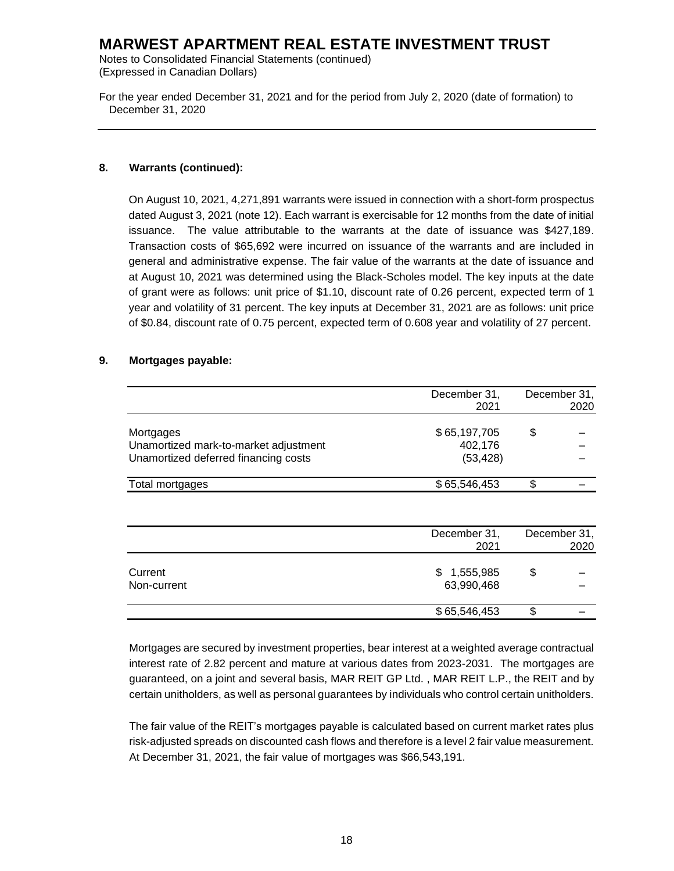Notes to Consolidated Financial Statements (continued) (Expressed in Canadian Dollars)

For the year ended December 31, 2021 and for the period from July 2, 2020 (date of formation) to December 31, 2020

#### **8. Warrants (continued):**

On August 10, 2021, 4,271,891 warrants were issued in connection with a short-form prospectus dated August 3, 2021 (note 12). Each warrant is exercisable for 12 months from the date of initial issuance. The value attributable to the warrants at the date of issuance was \$427,189. Transaction costs of \$65,692 were incurred on issuance of the warrants and are included in general and administrative expense. The fair value of the warrants at the date of issuance and at August 10, 2021 was determined using the Black-Scholes model. The key inputs at the date of grant were as follows: unit price of \$1.10, discount rate of 0.26 percent, expected term of 1 year and volatility of 31 percent. The key inputs at December 31, 2021 are as follows: unit price of \$0.84, discount rate of 0.75 percent, expected term of 0.608 year and volatility of 27 percent.

#### **9. Mortgages payable:**

|                                       | December 31, | December 31, |
|---------------------------------------|--------------|--------------|
|                                       | 2021         | 2020         |
| Mortgages                             | \$65,197,705 | \$           |
| Unamortized mark-to-market adjustment | 402,176      |              |
| Unamortized deferred financing costs  | (53, 428)    |              |
| Total mortgages                       | \$65,546,453 | \$           |
|                                       |              |              |
|                                       |              |              |

|                        | December 31,<br>2021      | December 31,<br>2020 |
|------------------------|---------------------------|----------------------|
| Current<br>Non-current | \$1,555,985<br>63,990,468 | \$                   |
|                        | \$65,546,453              | \$                   |

Mortgages are secured by investment properties, bear interest at a weighted average contractual interest rate of 2.82 percent and mature at various dates from 2023-2031. The mortgages are guaranteed, on a joint and several basis, MAR REIT GP Ltd. , MAR REIT L.P., the REIT and by certain unitholders, as well as personal guarantees by individuals who control certain unitholders.

The fair value of the REIT's mortgages payable is calculated based on current market rates plus risk-adjusted spreads on discounted cash flows and therefore is a level 2 fair value measurement. At December 31, 2021, the fair value of mortgages was \$66,543,191.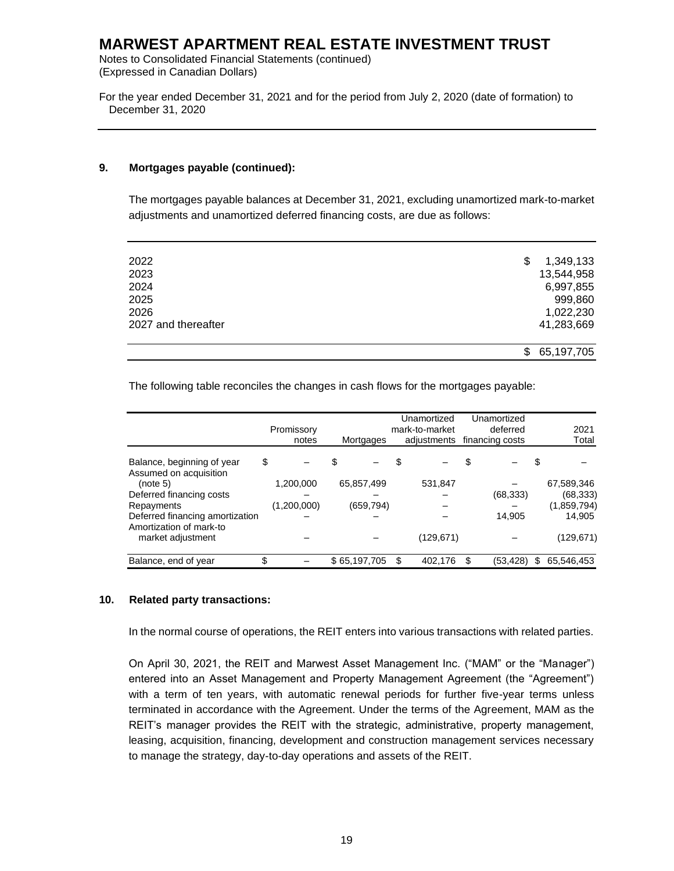Notes to Consolidated Financial Statements (continued) (Expressed in Canadian Dollars)

For the year ended December 31, 2021 and for the period from July 2, 2020 (date of formation) to December 31, 2020

#### **9. Mortgages payable (continued):**

The mortgages payable balances at December 31, 2021, excluding unamortized mark-to-market adjustments and unamortized deferred financing costs, are due as follows:

| 2022<br>\$          | 1,349,133  |
|---------------------|------------|
| 2023                | 13,544,958 |
| 2024                | 6,997,855  |
| 2025                | 999,860    |
| 2026                | 1,022,230  |
| 2027 and thereafter | 41,283,669 |
|                     |            |
| S                   | 65,197,705 |

The following table reconciles the changes in cash flows for the mortgages payable:

|                                                      | Promissory<br>notes | Mortgages    | Unamortized<br>mark-to-market<br>adiustments | Unamortized<br>deferred<br>financing costs |    | 2021<br>Total           |
|------------------------------------------------------|---------------------|--------------|----------------------------------------------|--------------------------------------------|----|-------------------------|
| Balance, beginning of year<br>Assumed on acquisition | \$                  | \$           | \$                                           | \$                                         | \$ |                         |
| (note 5)<br>Deferred financing costs                 | 1.200.000           | 65.857.499   | 531,847                                      | (68, 333)                                  |    | 67,589,346<br>(68, 333) |
| Repayments<br>Deferred financing amortization        | (1,200,000)         | (659, 794)   |                                              | 14.905                                     |    | (1,859,794)<br>14,905   |
| Amortization of mark-to<br>market adjustment         |                     |              | (129, 671)                                   |                                            |    | (129, 671)              |
| Balance, end of year                                 | \$                  | \$65,197,705 | \$<br>402.176                                | \$<br>(53, 428)                            | S  | 65,546,453              |

#### **10. Related party transactions:**

In the normal course of operations, the REIT enters into various transactions with related parties.

On April 30, 2021, the REIT and Marwest Asset Management Inc. ("MAM" or the "Manager") entered into an Asset Management and Property Management Agreement (the "Agreement") with a term of ten years, with automatic renewal periods for further five-year terms unless terminated in accordance with the Agreement. Under the terms of the Agreement, MAM as the REIT's manager provides the REIT with the strategic, administrative, property management, leasing, acquisition, financing, development and construction management services necessary to manage the strategy, day-to-day operations and assets of the REIT.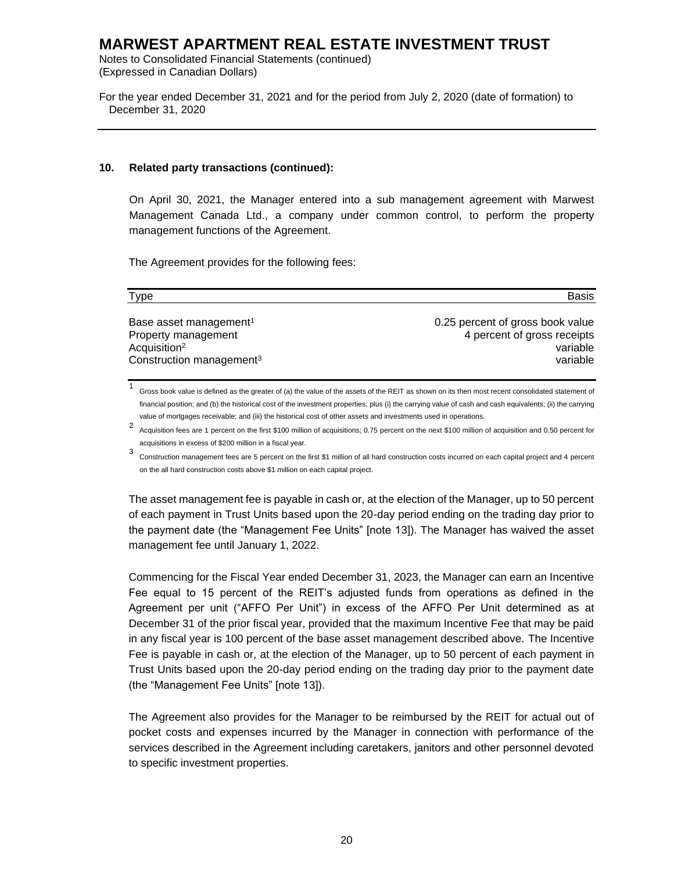Notes to Consolidated Financial Statements (continued) (Expressed in Canadian Dollars)

For the year ended December 31, 2021 and for the period from July 2, 2020 (date of formation) to December 31, 2020

#### **10. Related party transactions (continued):**

On April 30, 2021, the Manager entered into a sub management agreement with Marwest Management Canada Ltd., a company under common control, to perform the property management functions of the Agreement.

The Agreement provides for the following fees:

| <b>Type</b>                          | <b>Basis</b>                     |
|--------------------------------------|----------------------------------|
| Base asset management <sup>1</sup>   | 0.25 percent of gross book value |
| Property management                  | 4 percent of gross receipts      |
| Acquisition <sup>2</sup>             | variable                         |
| Construction management <sup>3</sup> | variable                         |

1 Gross book value is defined as the greater of (a) the value of the assets of the REIT as shown on its then most recent consolidated statement of financial position; and (b) the historical cost of the investment properties, plus (i) the carrying value of cash and cash equivalents; (ii) the carrying value of mortgages receivable; and (iii) the historical cost of other assets and investments used in operations.

2 Acquisition fees are 1 percent on the first \$100 million of acquisitions; 0.75 percent on the next \$100 million of acquisition and 0.50 percent for acquisitions in excess of \$200 million in a fiscal year.

3 Construction management fees are 5 percent on the first \$1 million of all hard construction costs incurred on each capital project and 4 percent on the all hard construction costs above \$1 million on each capital project.

The asset management fee is payable in cash or, at the election of the Manager, up to 50 percent of each payment in Trust Units based upon the 20-day period ending on the trading day prior to the payment date (the "Management Fee Units" [note 13]). The Manager has waived the asset management fee until January 1, 2022.

Commencing for the Fiscal Year ended December 31, 2023, the Manager can earn an Incentive Fee equal to 15 percent of the REIT's adjusted funds from operations as defined in the Agreement per unit ("AFFO Per Unit") in excess of the AFFO Per Unit determined as at December 31 of the prior fiscal year, provided that the maximum Incentive Fee that may be paid in any fiscal year is 100 percent of the base asset management described above. The Incentive Fee is payable in cash or, at the election of the Manager, up to 50 percent of each payment in Trust Units based upon the 20-day period ending on the trading day prior to the payment date (the "Management Fee Units" [note 13]).

The Agreement also provides for the Manager to be reimbursed by the REIT for actual out of pocket costs and expenses incurred by the Manager in connection with performance of the services described in the Agreement including caretakers, janitors and other personnel devoted to specific investment properties.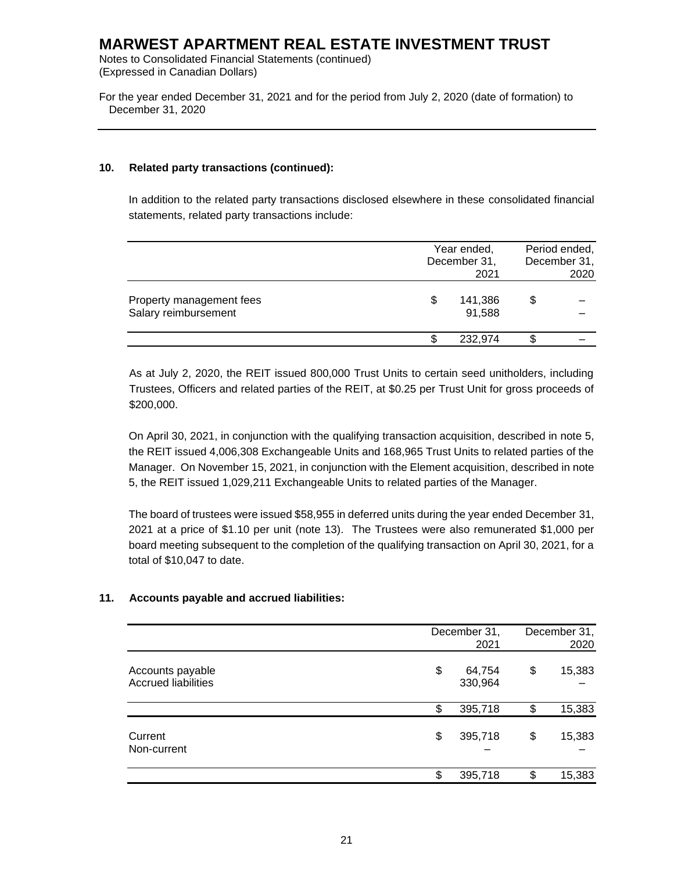Notes to Consolidated Financial Statements (continued) (Expressed in Canadian Dollars)

For the year ended December 31, 2021 and for the period from July 2, 2020 (date of formation) to December 31, 2020

#### **10. Related party transactions (continued):**

In addition to the related party transactions disclosed elsewhere in these consolidated financial statements, related party transactions include:

|                                                  |   | Year ended,<br>December 31,<br>2021 | Period ended,<br>December 31,<br>2020 |  |  |
|--------------------------------------------------|---|-------------------------------------|---------------------------------------|--|--|
| Property management fees<br>Salary reimbursement | S | 141,386<br>91,588                   | \$                                    |  |  |
|                                                  | c | 232.974                             |                                       |  |  |

As at July 2, 2020, the REIT issued 800,000 Trust Units to certain seed unitholders, including Trustees, Officers and related parties of the REIT, at \$0.25 per Trust Unit for gross proceeds of \$200,000.

On April 30, 2021, in conjunction with the qualifying transaction acquisition, described in note 5, the REIT issued 4,006,308 Exchangeable Units and 168,965 Trust Units to related parties of the Manager. On November 15, 2021, in conjunction with the Element acquisition, described in note 5, the REIT issued 1,029,211 Exchangeable Units to related parties of the Manager.

The board of trustees were issued \$58,955 in deferred units during the year ended December 31, 2021 at a price of \$1.10 per unit (note 13). The Trustees were also remunerated \$1,000 per board meeting subsequent to the completion of the qualifying transaction on April 30, 2021, for a total of \$10,047 to date.

#### **11. Accounts payable and accrued liabilities:**

|                                                | December 31,<br>2021    | December 31,<br>2020 |
|------------------------------------------------|-------------------------|----------------------|
| Accounts payable<br><b>Accrued liabilities</b> | \$<br>64,754<br>330,964 | \$<br>15,383         |
|                                                | \$<br>395,718           | \$<br>15,383         |
| Current<br>Non-current                         | \$<br>395,718           | \$<br>15,383         |
|                                                | \$<br>395,718           | \$<br>15,383         |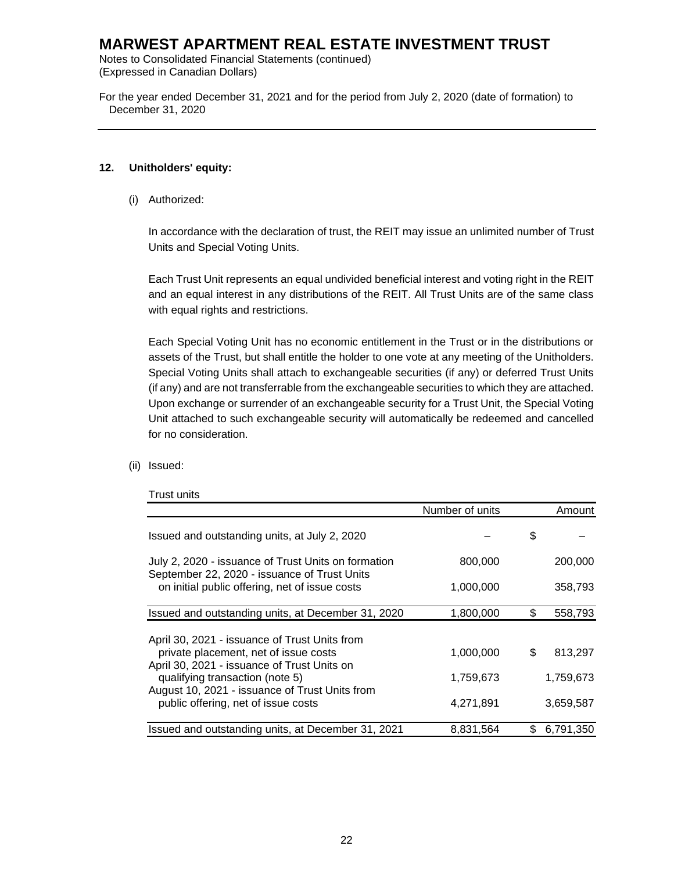Notes to Consolidated Financial Statements (continued) (Expressed in Canadian Dollars)

For the year ended December 31, 2021 and for the period from July 2, 2020 (date of formation) to December 31, 2020

#### **12. Unitholders' equity:**

(i) Authorized:

In accordance with the declaration of trust, the REIT may issue an unlimited number of Trust Units and Special Voting Units.

Each Trust Unit represents an equal undivided beneficial interest and voting right in the REIT and an equal interest in any distributions of the REIT. All Trust Units are of the same class with equal rights and restrictions.

Each Special Voting Unit has no economic entitlement in the Trust or in the distributions or assets of the Trust, but shall entitle the holder to one vote at any meeting of the Unitholders. Special Voting Units shall attach to exchangeable securities (if any) or deferred Trust Units (if any) and are not transferrable from the exchangeable securities to which they are attached. Upon exchange or surrender of an exchangeable security for a Trust Unit, the Special Voting Unit attached to such exchangeable security will automatically be redeemed and cancelled for no consideration.

(ii) Issued:

| .                                                                                                                                |                 |     |           |
|----------------------------------------------------------------------------------------------------------------------------------|-----------------|-----|-----------|
|                                                                                                                                  | Number of units |     | Amount    |
| Issued and outstanding units, at July 2, 2020                                                                                    |                 | \$  |           |
| July 2, 2020 - issuance of Trust Units on formation<br>September 22, 2020 - issuance of Trust Units                              | 800,000         |     | 200,000   |
| on initial public offering, net of issue costs                                                                                   | 1,000,000       |     | 358,793   |
| Issued and outstanding units, at December 31, 2020                                                                               | 1,800,000       | \$  | 558,793   |
| April 30, 2021 - issuance of Trust Units from<br>private placement, net of issue costs                                           | 1.000.000       | \$  | 813.297   |
| April 30, 2021 - issuance of Trust Units on<br>qualifying transaction (note 5)<br>August 10, 2021 - issuance of Trust Units from | 1,759,673       |     | 1,759,673 |
| public offering, net of issue costs                                                                                              | 4,271,891       |     | 3,659,587 |
| Issued and outstanding units, at December 31, 2021                                                                               | 8,831,564       | \$. | 6,791,350 |

#### Trust units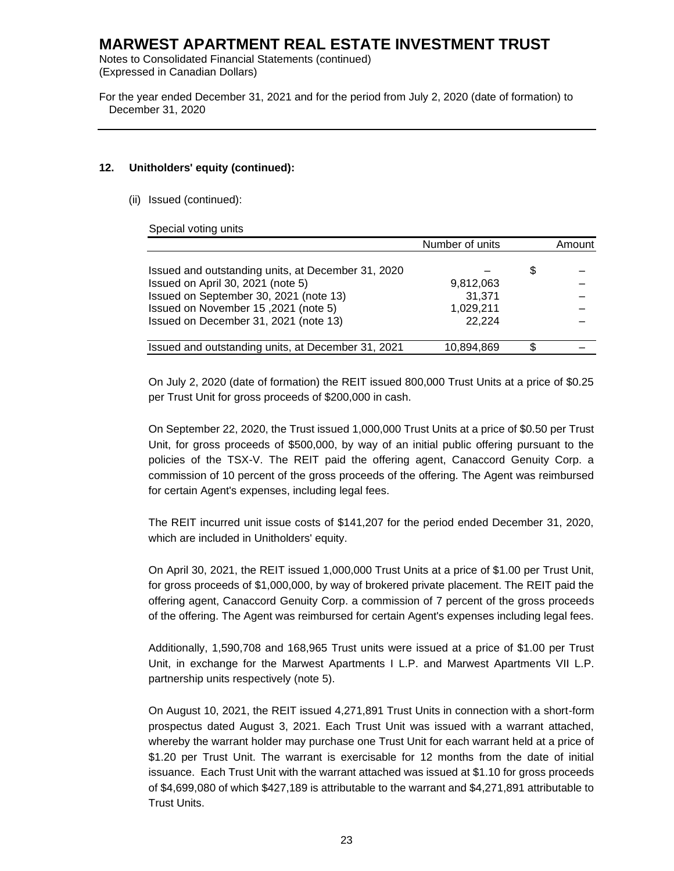Notes to Consolidated Financial Statements (continued) (Expressed in Canadian Dollars)

For the year ended December 31, 2021 and for the period from July 2, 2020 (date of formation) to December 31, 2020

#### **12. Unitholders' equity (continued):**

(ii) Issued (continued):

Special voting units

|                                                    | Number of units | Amount |
|----------------------------------------------------|-----------------|--------|
| Issued and outstanding units, at December 31, 2020 |                 | \$     |
| Issued on April 30, 2021 (note 5)                  | 9,812,063       |        |
| Issued on September 30, 2021 (note 13)             | 31,371          |        |
| Issued on November 15, 2021 (note 5)               | 1,029,211       |        |
| Issued on December 31, 2021 (note 13)              | 22,224          |        |
| Issued and outstanding units, at December 31, 2021 | 10,894,869      |        |
|                                                    |                 |        |

On July 2, 2020 (date of formation) the REIT issued 800,000 Trust Units at a price of \$0.25 per Trust Unit for gross proceeds of \$200,000 in cash.

On September 22, 2020, the Trust issued 1,000,000 Trust Units at a price of \$0.50 per Trust Unit, for gross proceeds of \$500,000, by way of an initial public offering pursuant to the policies of the TSX-V. The REIT paid the offering agent, Canaccord Genuity Corp. a commission of 10 percent of the gross proceeds of the offering. The Agent was reimbursed for certain Agent's expenses, including legal fees.

The REIT incurred unit issue costs of \$141,207 for the period ended December 31, 2020, which are included in Unitholders' equity.

On April 30, 2021, the REIT issued 1,000,000 Trust Units at a price of \$1.00 per Trust Unit, for gross proceeds of \$1,000,000, by way of brokered private placement. The REIT paid the offering agent, Canaccord Genuity Corp. a commission of 7 percent of the gross proceeds of the offering. The Agent was reimbursed for certain Agent's expenses including legal fees.

Additionally, 1,590,708 and 168,965 Trust units were issued at a price of \$1.00 per Trust Unit, in exchange for the Marwest Apartments I L.P. and Marwest Apartments VII L.P. partnership units respectively (note 5).

On August 10, 2021, the REIT issued 4,271,891 Trust Units in connection with a short-form prospectus dated August 3, 2021. Each Trust Unit was issued with a warrant attached, whereby the warrant holder may purchase one Trust Unit for each warrant held at a price of \$1.20 per Trust Unit. The warrant is exercisable for 12 months from the date of initial issuance. Each Trust Unit with the warrant attached was issued at \$1.10 for gross proceeds of \$4,699,080 of which \$427,189 is attributable to the warrant and \$4,271,891 attributable to Trust Units.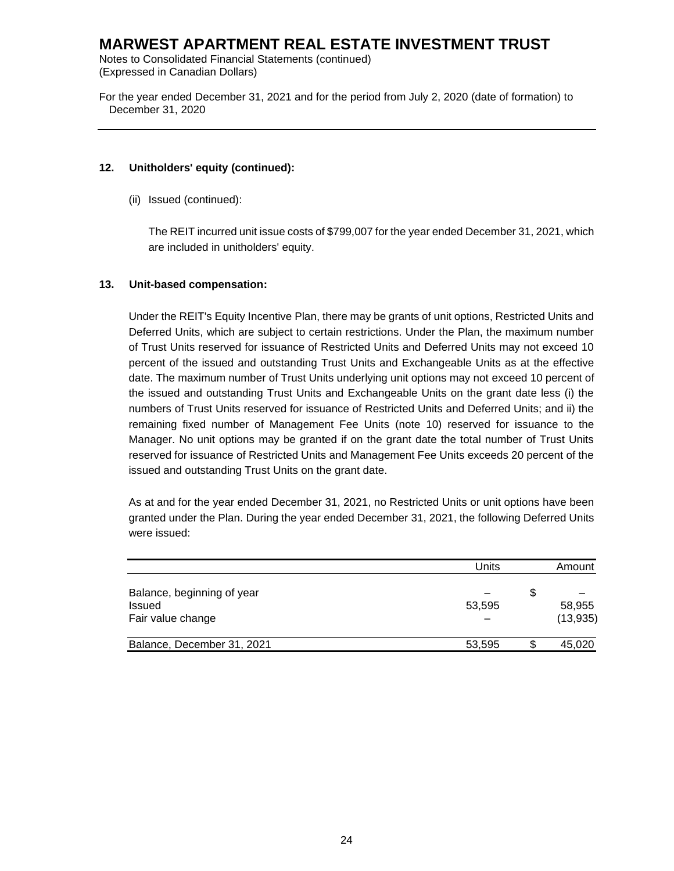Notes to Consolidated Financial Statements (continued) (Expressed in Canadian Dollars)

For the year ended December 31, 2021 and for the period from July 2, 2020 (date of formation) to December 31, 2020

#### **12. Unitholders' equity (continued):**

(ii) Issued (continued):

The REIT incurred unit issue costs of \$799,007 for the year ended December 31, 2021, which are included in unitholders' equity.

#### **13. Unit-based compensation:**

Under the REIT's Equity Incentive Plan, there may be grants of unit options, Restricted Units and Deferred Units, which are subject to certain restrictions. Under the Plan, the maximum number of Trust Units reserved for issuance of Restricted Units and Deferred Units may not exceed 10 percent of the issued and outstanding Trust Units and Exchangeable Units as at the effective date. The maximum number of Trust Units underlying unit options may not exceed 10 percent of the issued and outstanding Trust Units and Exchangeable Units on the grant date less (i) the numbers of Trust Units reserved for issuance of Restricted Units and Deferred Units; and ii) the remaining fixed number of Management Fee Units (note 10) reserved for issuance to the Manager. No unit options may be granted if on the grant date the total number of Trust Units reserved for issuance of Restricted Units and Management Fee Units exceeds 20 percent of the issued and outstanding Trust Units on the grant date.

As at and for the year ended December 31, 2021, no Restricted Units or unit options have been granted under the Plan. During the year ended December 31, 2021, the following Deferred Units were issued:

|                                                           | Units  |    | Amount              |
|-----------------------------------------------------------|--------|----|---------------------|
| Balance, beginning of year<br>Issued<br>Fair value change | 53,595 | \$ | 58,955<br>(13, 935) |
| Balance, December 31, 2021                                | 53,595 | ъD | 45,020              |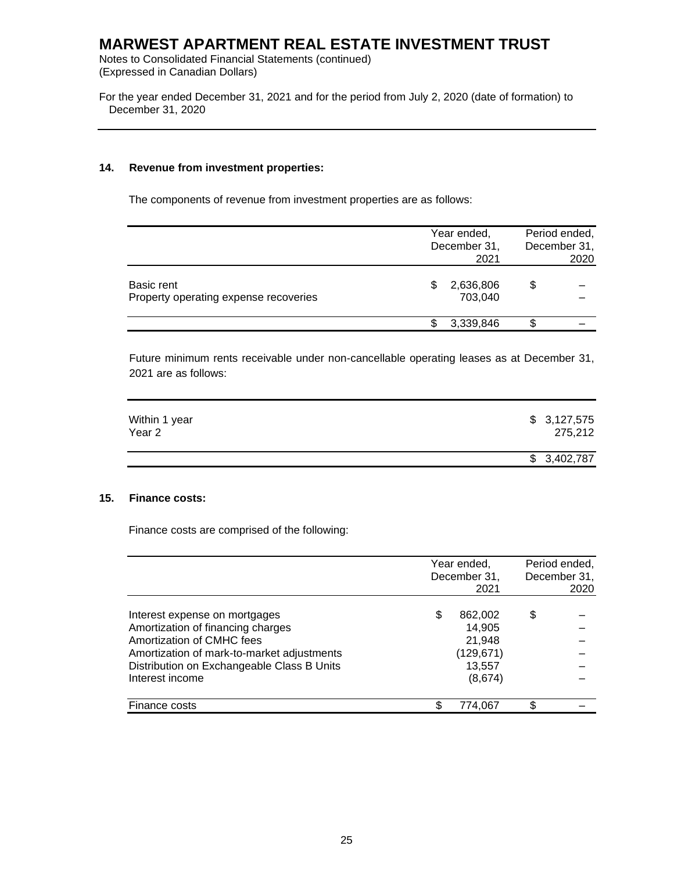Notes to Consolidated Financial Statements (continued) (Expressed in Canadian Dollars)

For the year ended December 31, 2021 and for the period from July 2, 2020 (date of formation) to December 31, 2020

#### **14. Revenue from investment properties:**

The components of revenue from investment properties are as follows:

|                                                     | Year ended,<br>December 31,<br>2021 |   | Period ended,<br>December 31,<br>2020 |
|-----------------------------------------------------|-------------------------------------|---|---------------------------------------|
| Basic rent<br>Property operating expense recoveries | 2,636,806<br>703,040                | S |                                       |
|                                                     | 3,339,846                           |   |                                       |

Future minimum rents receivable under non-cancellable operating leases as at December 31, 2021 are as follows:

| Within 1 year<br>Year <sub>2</sub> | \$3,127,575<br>275,212 |
|------------------------------------|------------------------|
|                                    | \$3,402,787            |

#### **15. Finance costs:**

Finance costs are comprised of the following:

|                                                                                                                                                                                                                | Year ended,<br>December 31,<br>2021                                  | Period ended,<br>December 31,<br>2020 |
|----------------------------------------------------------------------------------------------------------------------------------------------------------------------------------------------------------------|----------------------------------------------------------------------|---------------------------------------|
| Interest expense on mortgages<br>Amortization of financing charges<br>Amortization of CMHC fees<br>Amortization of mark-to-market adjustments<br>Distribution on Exchangeable Class B Units<br>Interest income | \$<br>862,002<br>14,905<br>21,948<br>(129, 671)<br>13,557<br>(8,674) | \$                                    |
| Finance costs                                                                                                                                                                                                  | 774.067                                                              | \$                                    |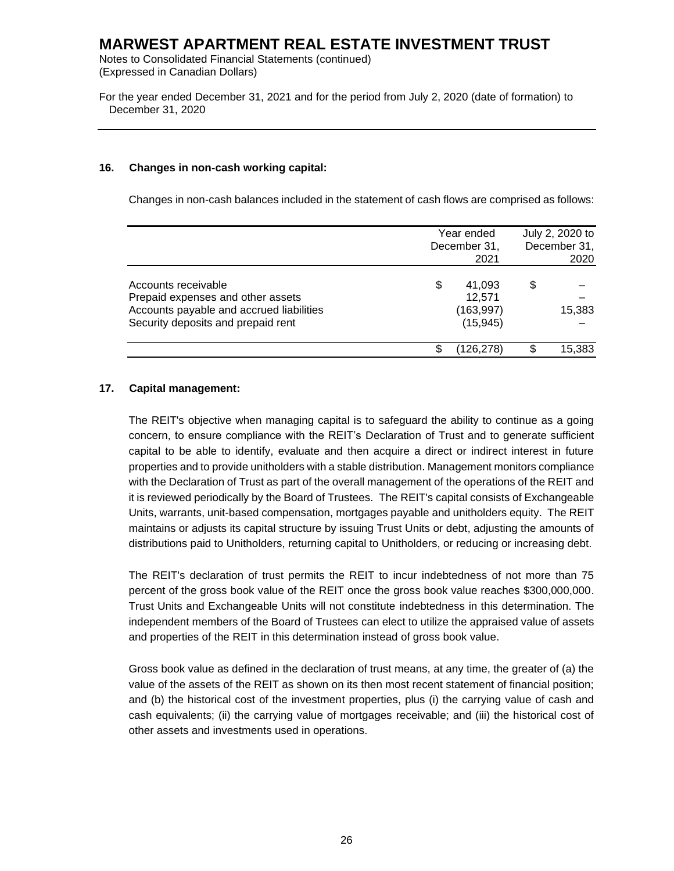Notes to Consolidated Financial Statements (continued) (Expressed in Canadian Dollars)

For the year ended December 31, 2021 and for the period from July 2, 2020 (date of formation) to December 31, 2020

#### **16. Changes in non-cash working capital:**

Changes in non-cash balances included in the statement of cash flows are comprised as follows:

|                                                                                                                                            | Year ended<br>December 31,<br>2021                |    | July 2, 2020 to<br>December 31,<br>2020 |
|--------------------------------------------------------------------------------------------------------------------------------------------|---------------------------------------------------|----|-----------------------------------------|
| Accounts receivable<br>Prepaid expenses and other assets<br>Accounts payable and accrued liabilities<br>Security deposits and prepaid rent | \$<br>41,093<br>12,571<br>(163, 997)<br>(15, 945) | \$ | 15,383                                  |
|                                                                                                                                            | (126.278)                                         | S  | 15,383                                  |

#### **17. Capital management:**

The REIT's objective when managing capital is to safeguard the ability to continue as a going concern, to ensure compliance with the REIT's Declaration of Trust and to generate sufficient capital to be able to identify, evaluate and then acquire a direct or indirect interest in future properties and to provide unitholders with a stable distribution. Management monitors compliance with the Declaration of Trust as part of the overall management of the operations of the REIT and it is reviewed periodically by the Board of Trustees. The REIT's capital consists of Exchangeable Units, warrants, unit-based compensation, mortgages payable and unitholders equity. The REIT maintains or adjusts its capital structure by issuing Trust Units or debt, adjusting the amounts of distributions paid to Unitholders, returning capital to Unitholders, or reducing or increasing debt.

The REIT's declaration of trust permits the REIT to incur indebtedness of not more than 75 percent of the gross book value of the REIT once the gross book value reaches \$300,000,000. Trust Units and Exchangeable Units will not constitute indebtedness in this determination. The independent members of the Board of Trustees can elect to utilize the appraised value of assets and properties of the REIT in this determination instead of gross book value.

Gross book value as defined in the declaration of trust means, at any time, the greater of (a) the value of the assets of the REIT as shown on its then most recent statement of financial position; and (b) the historical cost of the investment properties, plus (i) the carrying value of cash and cash equivalents; (ii) the carrying value of mortgages receivable; and (iii) the historical cost of other assets and investments used in operations.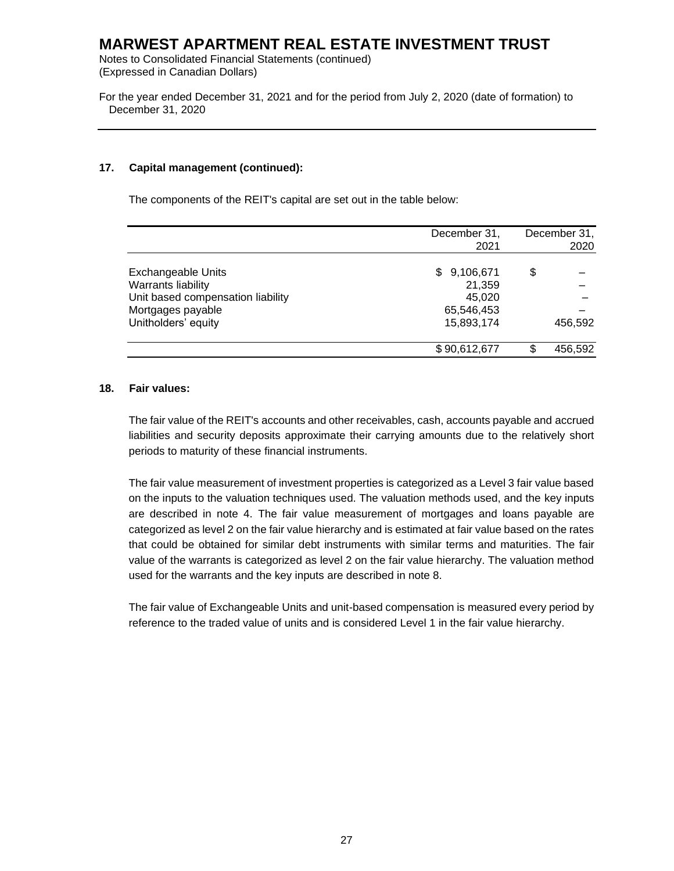Notes to Consolidated Financial Statements (continued) (Expressed in Canadian Dollars)

For the year ended December 31, 2021 and for the period from July 2, 2020 (date of formation) to December 31, 2020

#### **17. Capital management (continued):**

The components of the REIT's capital are set out in the table below:

|                                   | December 31,<br>2021 |    | December 31,<br>2020 |
|-----------------------------------|----------------------|----|----------------------|
|                                   |                      |    |                      |
| <b>Exchangeable Units</b>         | 9,106,671<br>S.      | \$ |                      |
| Warrants liability                | 21,359               |    |                      |
| Unit based compensation liability | 45,020               |    |                      |
| Mortgages payable                 | 65,546,453           |    |                      |
| Unitholders' equity               | 15,893,174           |    | 456,592              |
|                                   | \$90,612,677         | ß. | 456.592              |

#### **18. Fair values:**

The fair value of the REIT's accounts and other receivables, cash, accounts payable and accrued liabilities and security deposits approximate their carrying amounts due to the relatively short periods to maturity of these financial instruments.

The fair value measurement of investment properties is categorized as a Level 3 fair value based on the inputs to the valuation techniques used. The valuation methods used, and the key inputs are described in note 4. The fair value measurement of mortgages and loans payable are categorized as level 2 on the fair value hierarchy and is estimated at fair value based on the rates that could be obtained for similar debt instruments with similar terms and maturities. The fair value of the warrants is categorized as level 2 on the fair value hierarchy. The valuation method used for the warrants and the key inputs are described in note 8.

The fair value of Exchangeable Units and unit-based compensation is measured every period by reference to the traded value of units and is considered Level 1 in the fair value hierarchy.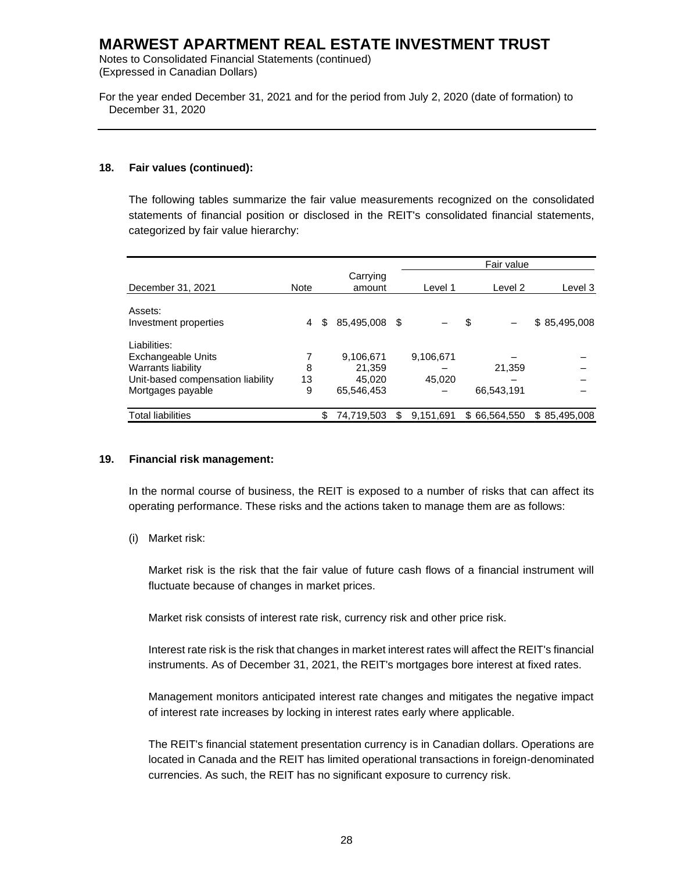Notes to Consolidated Financial Statements (continued) (Expressed in Canadian Dollars)

For the year ended December 31, 2021 and for the period from July 2, 2020 (date of formation) to December 31, 2020

#### **18. Fair values (continued):**

The following tables summarize the fair value measurements recognized on the consolidated statements of financial position or disclosed in the REIT's consolidated financial statements, categorized by fair value hierarchy:

|                                    |             |    |                    | Fair value |              |              |  |  |
|------------------------------------|-------------|----|--------------------|------------|--------------|--------------|--|--|
| December 31, 2021                  | <b>Note</b> |    | Carrying<br>amount | Level 1    | Level 2      | Level 3      |  |  |
| Assets:<br>Investment properties   | 4           | \$ | 85,495,008 \$      |            | \$           | \$85,495,008 |  |  |
| Liabilities:<br>Exchangeable Units |             |    | 9,106,671          | 9,106,671  |              |              |  |  |
| Warrants liability                 | 8           |    | 21.359             |            | 21,359       |              |  |  |
| Unit-based compensation liability  | 13          |    | 45.020             | 45.020     |              |              |  |  |
| Mortgages payable                  | 9           |    | 65.546.453         |            | 66.543.191   |              |  |  |
| <b>Total liabilities</b>           |             | \$ | 74,719,503         | 9,151,691  | \$66.564.550 | \$85,495,008 |  |  |

#### **19. Financial risk management:**

In the normal course of business, the REIT is exposed to a number of risks that can affect its operating performance. These risks and the actions taken to manage them are as follows:

(i) Market risk:

Market risk is the risk that the fair value of future cash flows of a financial instrument will fluctuate because of changes in market prices.

Market risk consists of interest rate risk, currency risk and other price risk.

Interest rate risk is the risk that changes in market interest rates will affect the REIT's financial instruments. As of December 31, 2021, the REIT's mortgages bore interest at fixed rates.

Management monitors anticipated interest rate changes and mitigates the negative impact of interest rate increases by locking in interest rates early where applicable.

The REIT's financial statement presentation currency is in Canadian dollars. Operations are located in Canada and the REIT has limited operational transactions in foreign-denominated currencies. As such, the REIT has no significant exposure to currency risk.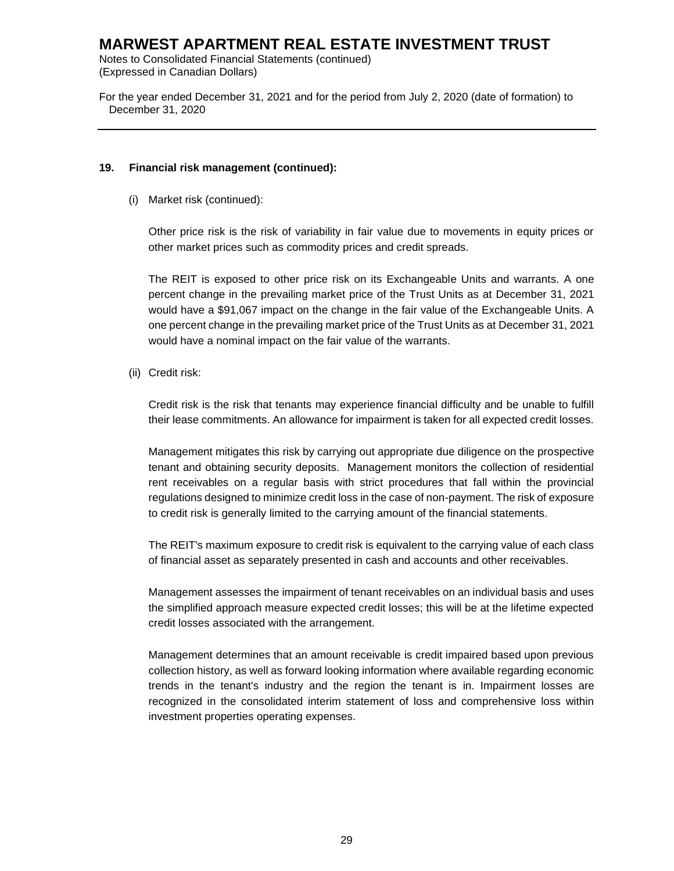Notes to Consolidated Financial Statements (continued) (Expressed in Canadian Dollars)

For the year ended December 31, 2021 and for the period from July 2, 2020 (date of formation) to December 31, 2020

#### **19. Financial risk management (continued):**

(i) Market risk (continued):

Other price risk is the risk of variability in fair value due to movements in equity prices or other market prices such as commodity prices and credit spreads.

The REIT is exposed to other price risk on its Exchangeable Units and warrants. A one percent change in the prevailing market price of the Trust Units as at December 31, 2021 would have a \$91,067 impact on the change in the fair value of the Exchangeable Units. A one percent change in the prevailing market price of the Trust Units as at December 31, 2021 would have a nominal impact on the fair value of the warrants.

(ii) Credit risk:

Credit risk is the risk that tenants may experience financial difficulty and be unable to fulfill their lease commitments. An allowance for impairment is taken for all expected credit losses.

Management mitigates this risk by carrying out appropriate due diligence on the prospective tenant and obtaining security deposits. Management monitors the collection of residential rent receivables on a regular basis with strict procedures that fall within the provincial regulations designed to minimize credit loss in the case of non-payment. The risk of exposure to credit risk is generally limited to the carrying amount of the financial statements.

The REIT's maximum exposure to credit risk is equivalent to the carrying value of each class of financial asset as separately presented in cash and accounts and other receivables.

Management assesses the impairment of tenant receivables on an individual basis and uses the simplified approach measure expected credit losses; this will be at the lifetime expected credit losses associated with the arrangement.

Management determines that an amount receivable is credit impaired based upon previous collection history, as well as forward looking information where available regarding economic trends in the tenant's industry and the region the tenant is in. Impairment losses are recognized in the consolidated interim statement of loss and comprehensive loss within investment properties operating expenses.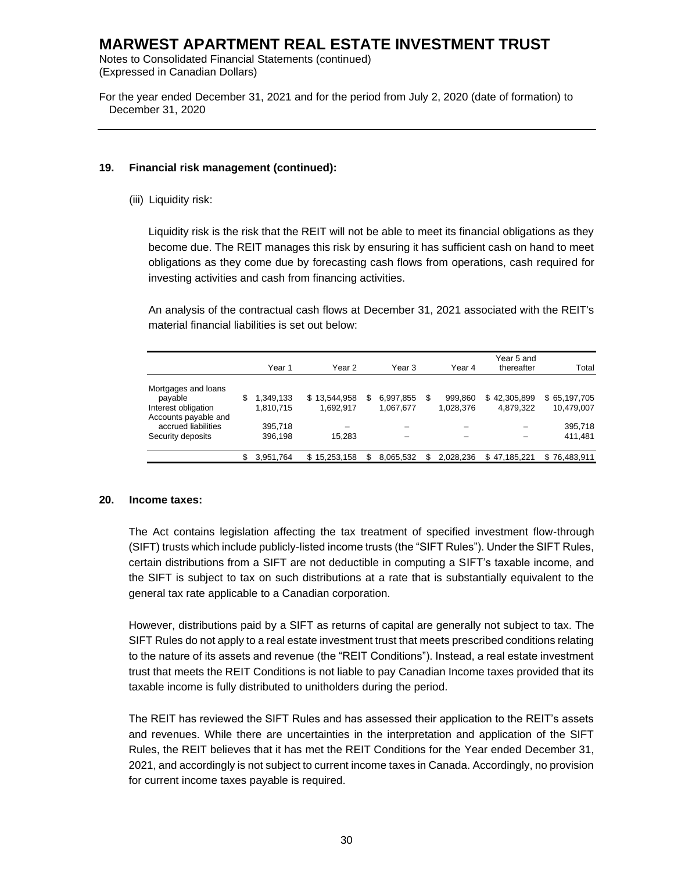Notes to Consolidated Financial Statements (continued) (Expressed in Canadian Dollars)

For the year ended December 31, 2021 and for the period from July 2, 2020 (date of formation) to December 31, 2020

#### **19. Financial risk management (continued):**

(iii) Liquidity risk:

Liquidity risk is the risk that the REIT will not be able to meet its financial obligations as they become due. The REIT manages this risk by ensuring it has sufficient cash on hand to meet obligations as they come due by forecasting cash flows from operations, cash required for investing activities and cash from financing activities.

An analysis of the contractual cash flows at December 31, 2021 associated with the REIT's material financial liabilities is set out below:

|                                                                  |    | Year 1                 | Year 2                    |    | Year 3                 |   | Year 4               | Year 5 and<br>thereafter  | Total                      |
|------------------------------------------------------------------|----|------------------------|---------------------------|----|------------------------|---|----------------------|---------------------------|----------------------------|
| Mortgages and loans<br>payable<br>Interest obligation            | \$ | 1,349,133<br>1,810,715 | \$13,544,958<br>1,692,917 | S. | 6,997,855<br>1,067,677 | S | 999.860<br>1,028,376 | \$42,305,899<br>4.879.322 | \$65,197,705<br>10,479,007 |
| Accounts payable and<br>accrued liabilities<br>Security deposits |    | 395,718<br>396,198     | 15,283                    |    |                        |   |                      |                           | 395,718<br>411,481         |
|                                                                  | S. | 3,951,764              | \$15,253,158              |    | 8,065,532              |   | 2,028,236            | \$47,185,221              | \$76,483,911               |

#### **20. Income taxes:**

The Act contains legislation affecting the tax treatment of specified investment flow-through (SIFT) trusts which include publicly-listed income trusts (the "SIFT Rules"). Under the SIFT Rules, certain distributions from a SIFT are not deductible in computing a SIFT's taxable income, and the SIFT is subject to tax on such distributions at a rate that is substantially equivalent to the general tax rate applicable to a Canadian corporation.

However, distributions paid by a SIFT as returns of capital are generally not subject to tax. The SIFT Rules do not apply to a real estate investment trust that meets prescribed conditions relating to the nature of its assets and revenue (the "REIT Conditions"). Instead, a real estate investment trust that meets the REIT Conditions is not liable to pay Canadian Income taxes provided that its taxable income is fully distributed to unitholders during the period.

The REIT has reviewed the SIFT Rules and has assessed their application to the REIT's assets and revenues. While there are uncertainties in the interpretation and application of the SIFT Rules, the REIT believes that it has met the REIT Conditions for the Year ended December 31, 2021, and accordingly is not subject to current income taxes in Canada. Accordingly, no provision for current income taxes payable is required.